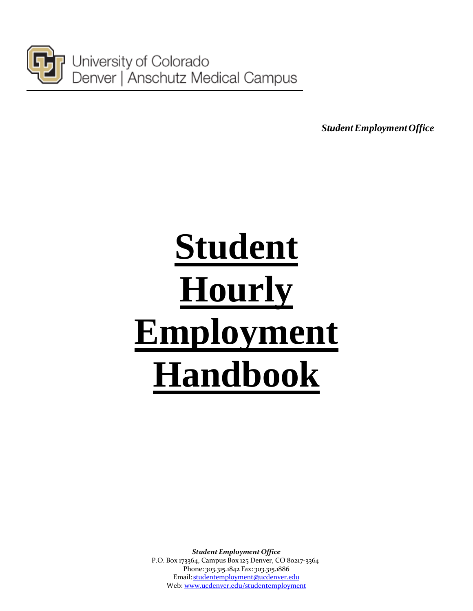

University of Colorado Denver | Anschutz Medical Campus

*StudentEmploymentOffice*

# **Student Hourly Employment Handbook**

*Student Employment Office* P.O. Box 173364, Campus Box 125 Denver, CO 80217-3364 Phone: 303.315.1842 Fax: 303.315.1886 Email: [studentemployment@ucdenver.edu](mailto:studentemployment@ucdenver.edu) Web[: www.ucdenver.edu/studentemployment](http://www.ucdenver.edu/student-services/resources/CostsAndFinancing/FASO/Do/StudentEmployment/Pages/StudentEmployment.aspx)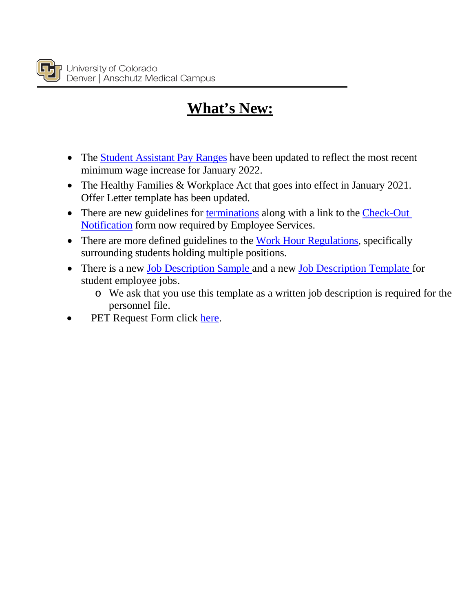## **What's New:**

- The [Student Assistant Pay Ranges](#page-34-0) have been updated to reflect the most recent minimum wage increase for January 2022.
- The Healthy Families & Workplace Act that goes into effect in January 2021. Offer Letter template has been updated.
- There are new guidelines for [terminations](#page-22-0) along with a link to the Check-Out [Notification](#page-11-0) form now required by Employee Services.
- There are more defined guidelines to the [Work Hour Regulations,](#page-5-0) specifically surrounding students holding multiple positions.
- There is a new [Job Description Sample](http://www.ucdenver.edu/student-services/resources/CostsAndFinancing/FASO/Do/StudentEmployment/Documents/Job%20Description%20Sample%20Template.pdf) and a new [Job Description Template](#page-28-0) for student employee jobs.
	- o We ask that you use this template as a written job description is required for the personnel file.
- PET Request Form click [here.](http://spauthor.oit.ucdenver.edu/student-services/resources/CostsAndFinancing/FASO/Do/StudentEmployment/Documents/UCD%20WS%20PET%20Request%20Form%20(fillable%20PDF).pdf)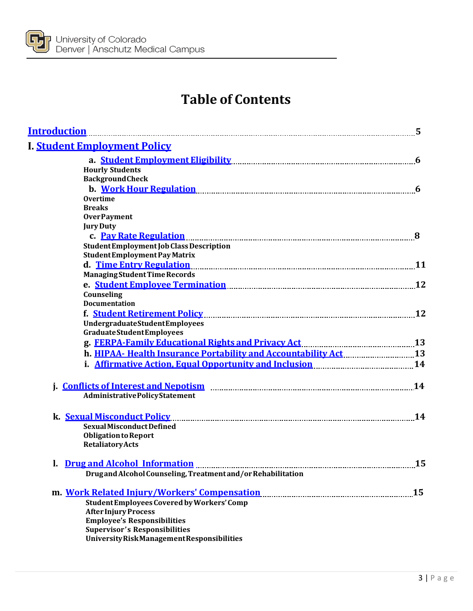

## **Table of Contents**

| <b>Introduction</b>                                                                                                                                                                                                               | 5  |
|-----------------------------------------------------------------------------------------------------------------------------------------------------------------------------------------------------------------------------------|----|
| I. Student Employment Policy                                                                                                                                                                                                      |    |
|                                                                                                                                                                                                                                   | 6  |
| <b>Hourly Students</b>                                                                                                                                                                                                            |    |
| <b>BackgroundCheck</b>                                                                                                                                                                                                            |    |
| b. Work Hour Regulation Manuscritter and Marshall and Manuscritter and Manuscritter and Manuscritter and Manus                                                                                                                    | 6  |
| <b>Overtime</b>                                                                                                                                                                                                                   |    |
| <b>Breaks</b>                                                                                                                                                                                                                     |    |
| <b>OverPayment</b>                                                                                                                                                                                                                |    |
| <b>Jury Duty</b>                                                                                                                                                                                                                  |    |
|                                                                                                                                                                                                                                   |    |
| Student Employment Job Class Description                                                                                                                                                                                          |    |
| <b>StudentEmployment Pay Matrix</b>                                                                                                                                                                                               |    |
|                                                                                                                                                                                                                                   |    |
| <b>Managing Student Time Records</b>                                                                                                                                                                                              |    |
| e. Student Employee Termination Manual Communication and 12                                                                                                                                                                       |    |
| Counseling                                                                                                                                                                                                                        |    |
| <b>Documentation</b>                                                                                                                                                                                                              |    |
|                                                                                                                                                                                                                                   | 12 |
| <b>UndergraduateStudentEmployees</b>                                                                                                                                                                                              |    |
| <b>Graduate Student Employees</b>                                                                                                                                                                                                 |    |
| g. FERPA-Family Educational Rights and Privacy Act manual manual manual 13                                                                                                                                                        |    |
|                                                                                                                                                                                                                                   |    |
| i. Affirmative Action, Equal Opportunity and Inclusion manuated and 14                                                                                                                                                            |    |
|                                                                                                                                                                                                                                   |    |
|                                                                                                                                                                                                                                   |    |
| <b>AdministrativePolicyStatement</b>                                                                                                                                                                                              |    |
| k. Sexual Misconduct Policy                                                                                                                                                                                                       | 14 |
| Sexual Misconduct Defined                                                                                                                                                                                                         |    |
| <b>Obligation to Report</b>                                                                                                                                                                                                       |    |
| <b>Retaliatory Acts</b>                                                                                                                                                                                                           |    |
| 1. Drug and Alcohol Information <b>Election 1996</b> and 200 million and 200 million and 30 million and 30 million and 30 million and 30 million and 30 million and 30 million and 30 million and 30 million and 30 million and 3 | 15 |
| Drug and Alcohol Counseling, Treatment and/or Rehabilitation                                                                                                                                                                      |    |
| m. Work Related Injury/Workers' Compensation                                                                                                                                                                                      | 15 |
| Student Employees Covered by Workers' Comp                                                                                                                                                                                        |    |
| <b>After Injury Process</b>                                                                                                                                                                                                       |    |
| <b>Employee's Responsibilities</b>                                                                                                                                                                                                |    |
| <b>Supervisor's Responsibilities</b>                                                                                                                                                                                              |    |
| University Risk Management Responsibilities                                                                                                                                                                                       |    |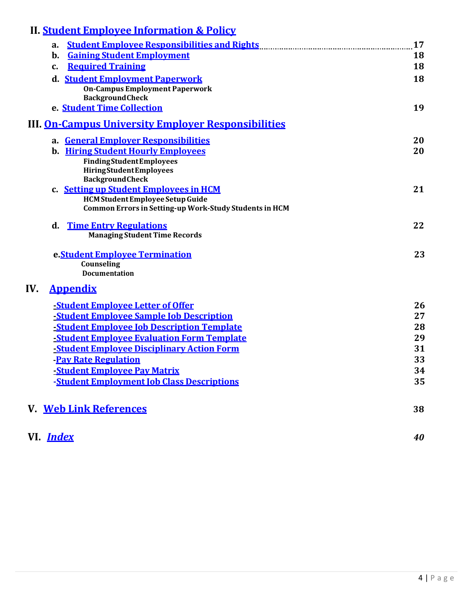| <b>II. Student Employee Information &amp; Policy</b>                                               |    |
|----------------------------------------------------------------------------------------------------|----|
| <b>Student Employee Responsibilities and Rights</b><br>а.                                          | 17 |
| <b>Gaining Student Employment</b><br>b.                                                            | 18 |
| <b>Required Training</b><br>$\mathbf{c}$ .                                                         | 18 |
| d. Student Employment Paperwork<br><b>On-Campus Employment Paperwork</b><br><b>BackgroundCheck</b> | 18 |
| e. Student Time Collection                                                                         | 19 |
| <b>III. On-Campus University Employer Responsibilities</b>                                         |    |
| a. General Employer Responsibilities                                                               | 20 |
| <b>b.</b> Hiring Student Hourly Employees                                                          | 20 |
| <b>FindingStudentEmployees</b>                                                                     |    |
| <b>HiringStudentEmployees</b><br><b>BackgroundCheck</b>                                            |    |
| c. Setting up Student Employees in HCM                                                             | 21 |
| <b>HCM Student Employee Setup Guide</b>                                                            |    |
| <b>Common Errors in Setting-up Work-Study Students in HCM</b>                                      |    |
| <b>Time Entry Regulations</b><br>d.                                                                | 22 |
| <b>Managing Student Time Records</b>                                                               |    |
| e. Student Employee Termination                                                                    | 23 |
| Counseling<br><b>Documentation</b>                                                                 |    |
|                                                                                                    |    |
| IV.<br><b>Appendix</b>                                                                             |    |
| <b>-Student Employee Letter of Offer</b>                                                           | 26 |
| <b>Student Employee Sample Job Description</b>                                                     | 27 |
| <b>-Student Employee Job Description Template</b>                                                  | 28 |
| -Student Employee Evaluation Form Template                                                         | 29 |
| <b>-Student Employee Disciplinary Action Form</b>                                                  | 31 |
| <b>Pay Rate Regulation</b>                                                                         | 33 |
| <b>-Student Employee Pay Matrix</b>                                                                | 34 |
| -Student Employment Job Class Descriptions                                                         | 35 |
| <b>V. Web Link References</b>                                                                      | 38 |
| VI. <i>Index</i>                                                                                   | 40 |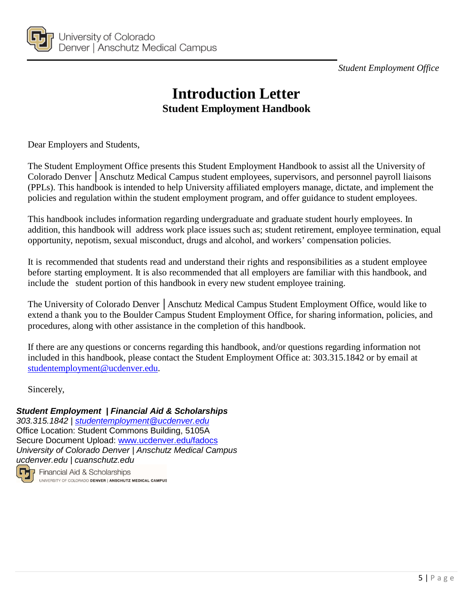*Student Employment Office*



## **Introduction Letter Student Employment Handbook**

<span id="page-4-0"></span>Dear Employers and Students,

The Student Employment Office presents this Student Employment Handbook to assist all the University of Colorado Denver │Anschutz Medical Campus student employees, supervisors, and personnel payroll liaisons (PPLs). This handbook is intended to help University affiliated employers manage, dictate, and implement the policies and regulation within the student employment program, and offer guidance to student employees.

This handbook includes information regarding undergraduate and graduate student hourly employees. In addition, this handbook will address work place issues such as; student retirement, employee termination, equal opportunity, nepotism, sexual misconduct, drugs and alcohol, and workers' compensation policies.

It is recommended that students read and understand their rights and responsibilities as a student employee before starting employment. It is also recommended that all employers are familiar with this handbook, and include the student portion of this handbook in every new student employee training.

The University of Colorado Denver | Anschutz Medical Campus Student Employment Office, would like to extend a thank you to the Boulder Campus Student Employment Office, for sharing information, policies, and procedures, along with other assistance in the completion of this handbook.

If there are any questions or concerns regarding this handbook, and/or questions regarding information not included in this handbook, please contact the Student Employment Office at: 303.315.1842 or by email at [studentemployment@ucdenver.edu.](mailto:studentemployment@ucdenver.edu)

Sincerely,

#### *Student Employment | Financial Aid & Scholarships*

*303.315.1842 | [studentemployment@ucdenver.edu](mailto:studentemployment@ucdenver.edu)* Office Location: Student Commons Building, 5105A Secure Document Upload: [www.ucdenver.edu/fadocs](http://www.ucdenver.edu/fadocs) *University of Colorado Denver | Anschutz Medical Campus ucdenver.edu | cuanschutz.edu*



Financial Aid & Scholarships UNIVERSITY OF COLORADO DENVER | ANSCHUTZ MEDICAL CAMPUS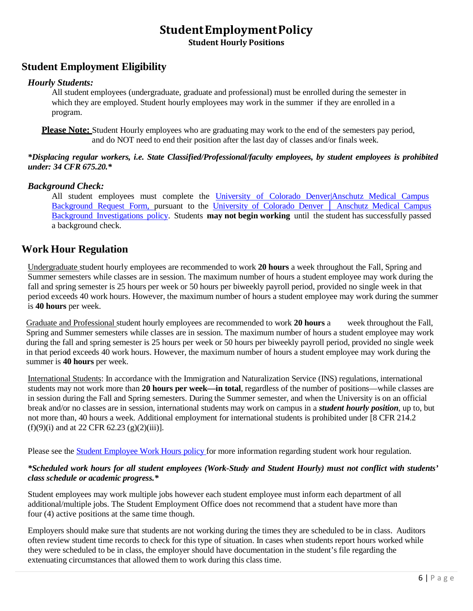### **StudentEmploymentPolicy**

**Student Hourly Positions**

#### <span id="page-5-2"></span><span id="page-5-1"></span>**Student Employment Eligibility**

#### *Hourly Students:*

All student employees (undergraduate, graduate and professional) must be enrolled during the semester in which they are employed. Student hourly employees may work in the summer if they are enrolled in a program.

**Please Note:** Student Hourly employees who are graduating may work to the end of the semesters pay period, and do NOT need to end their position after the last day of classes and/or finals week.

#### *\*Displacing regular workers, i.e. State Classified/Professional/faculty employees, by student employees is prohibited under: 34 CFR 675.20.\**

#### *Background Check:*

All student employees must complete the [University of Colorado Denver|Anschutz Medical Campus](https://forms.ucdenver.edu/secure/background_check_request) [Background](https://forms.ucdenver.edu/secure/background_check_request) Request Form, pursuant to the [University](https://www.cu.edu/ope/aps/5050) of Colorado Denver │ Anschutz Medical Campus Background [Investigations](https://www.cu.edu/ope/aps/5050) policy. Students **may not begin working** until the student has successfully passed a background check.

#### <span id="page-5-0"></span>**Work Hour Regulation**

Undergraduate student hourly employees are recommended to work **20 hours** a week throughout the Fall, Spring and Summer semesters while classes are in session. The maximum number of hours a student employee may work during the fall and spring semester is 25 hours per week or 50 hours per biweekly payroll period, provided no single week in that period exceeds 40 work hours. However, the maximum number of hours a student employee may work during the summer is **40 hours** per week.

Graduate and Professional student hourly employees are recommended to work **20 hours** a week throughout the Fall, Spring and Summer semesters while classes are in session. The maximum number of hours a student employee may work during the fall and spring semester is 25 hours per week or 50 hours per biweekly payroll period, provided no single week in that period exceeds 40 work hours. However, the maximum number of hours a student employee may work during the summer is **40 hours** per week.

International Students: In accordance with the Immigration and Naturalization Service (INS) regulations, international students may not work more than **20 hours per week—in total**, regardless of the number of positions—while classes are in session during the Fall and Spring semesters. During the Summer semester, and when the University is on an official break and/or no classes are in session, international students may work on campus in a *student hourly position*, up to, but not more than, 40 hours a week. Additional employment for international students is prohibited under [8 CFR 214.2  $(f)(9)(i)$  and at 22 CFR 62.23  $(g)(2)(iii)$ ].

Please see the Student [Employee](http://www.ucdenver.edu/about/departments/HR/HRPoliciesGuidelines/Documents/StudentWorkHoursPolicy.pdf) Work Hours policy for more information regarding student work hour regulation.

#### \*Scheduled work hours for all student employees (Work-Study and Student Hourly) must not conflict with students' *class schedule or academic progress.\**

Student employees may work multiple jobs however each student employee must inform each department of all additional/multiple jobs. The Student Employment Office does not recommend that a student have more than four (4) active positions at the same time though.

Employers should make sure that students are not working during the times they are scheduled to be in class. Auditors often review student time records to check for this type of situation. In cases when students report hours worked while they were scheduled to be in class, the employer should have documentation in the student's file regarding the extenuating circumstances that allowed them to work during this class time.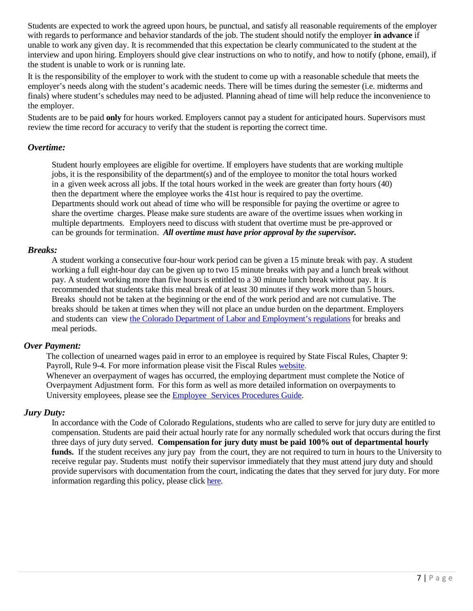Students are expected to work the agreed upon hours, be punctual, and satisfy all reasonable requirements of the employer with regards to performance and behavior standards of the job. The student should notify the employer **in advance** if unable to work any given day. It is recommended that this expectation be clearly communicated to the student at the interview and upon hiring. Employers should give clear instructions on who to notify, and how to notify (phone, email), if the student is unable to work or is running late.

It is the responsibility of the employer to work with the student to come up with a reasonable schedule that meets the employer's needs along with the student's academic needs. There will be times during the semester (i.e. midterms and finals) where student's schedules may need to be adjusted. Planning ahead of time will help reduce the inconvenience to the employer.

Students are to be paid **only** for hours worked. Employers cannot pay a student for anticipated hours. Supervisors must review the time record for accuracy to verify that the student is reporting the correct time.

#### *Overtime:*

<span id="page-6-0"></span>Student hourly employees are eligible for overtime. If employers have students that are working multiple jobs, it is the responsibility of the department(s) and of the employee to monitor the total hours worked in a given week across all jobs. If the total hours worked in the week are greater than forty hours (40) then the department where the employee works the 41st hour is required to pay the overtime. Departments should work out ahead of time who will be responsible for paying the overtime or agree to share the overtime charges. Please make sure students are aware of the overtime issues when working in multiple departments. Employers need to discuss with student that overtime must be pre-approved or can be grounds for termination. *All overtime must have prior approval by the supervisor.*

#### *Breaks:*

A student working a consecutive four-hour work period can be given a 15 minute break with pay. A student working a full eight-hour day can be given up to two 15 minute breaks with pay and a lunch break without pay. A student working more than five hours is entitled to a 30 minute lunch break without pay. It is recommended that students take this meal break of at least 30 minutes if they work more than 5 hours. Breaks should not be taken at the beginning or the end of the work period and are not cumulative. The breaks should be taken at times when they will not place an undue burden on the department. Employers and students can view the Colorado Department of Labor and [Employment's](https://cdle.colorado.gov/laws-regulations-guidance) regulations for breaks and meal periods.

#### *Over Payment:*

The collection of unearned wages paid in error to an employee is required by State Fiscal Rules, Chapter 9: Payroll, Rule 9-4. For more information please visit the Fiscal Rules [website.](https://www.colorado.gov/pacific/osc/fiscalrules) Whenever an overpayment of wages has occurred, the employing department must complete the Notice of Overpayment Adjustment form. For this form as well as more detailed information on overpayments to University employees, please see the **Employee** [Services Procedures](https://www.cu.edu/employee-services/docs?text=overpayment) Guide.

#### *Jury Duty:*

In accordance with the Code of Colorado Regulations, students who are called to serve for jury duty are entitled to compensation. Students are paid their actual hourly rate for any normally scheduled work that occurs during the first three days of jury duty served. **Compensation for jury duty must be paid 100% out of departmental hourly funds.** If the student receives any jury pay from the court, they are not required to turn in hours to the University to receive regular pay. Students must notify their supervisor immediately that they must attend jury duty and should provide supervisors with documentation from the court, indicating the dates that they served for jury duty. For more information regarding this policy, please click [here.](https://www.cu.edu/employee-services/collaborative-hr-services/cu-system-administration/employee-resources/jury-leave)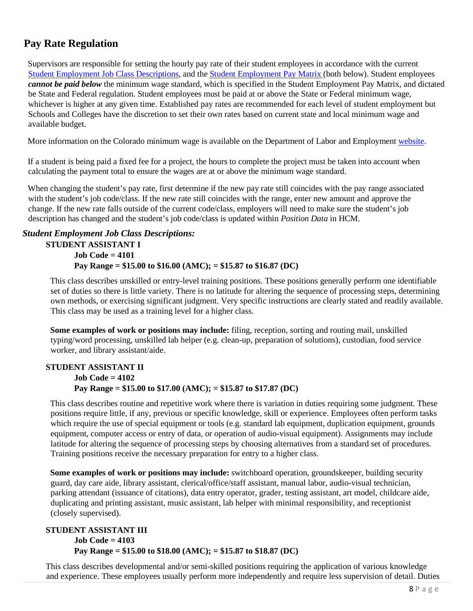#### <span id="page-7-0"></span>**Pay Rate Regulation**

Supervisors are responsible for setting the hourly pay rate of their student employees in accordance with the current [Student Employment](#page-35-0) Job Class Descriptions, and the Student [Employment](#page-34-0) Pay Matrix (both below). Student employees *cannot be paid below* the minimum wage standard, which is specified in the Student Employment Pay Matrix, and dictated be State and Federal regulation. Student employees must be paid at or above the State or Federal minimum wage, whichever is higher at any given time. Established pay rates are recommended for each level of student employment but Schools and Colleges have the discretion to set their own rates based on current state and local minimum wage and available budget.

More information on the Colorado minimum wage is available on the Department of Labor and Employment [website.](https://cdle.colorado.gov/)

If a student is being paid a fixed fee for a project, the hours to complete the project must be taken into account when calculating the payment total to ensure the wages are at or above the minimum wage standard.

When changing the student's pay rate, first determine if the new pay rate still coincides with the pay range associated with the student's job code/class. If the new rate still coincides with the range, enter new amount and approve the change. If the new rate falls outside of the current code/class, employers will need to make sure the student's job description has changed and the student's job code/class is updated within *Position Data* in HCM.

#### *Student Employment Job Class Descriptions:*

**STUDENT ASSISTANT I Job Code = 4101 Pay Range = \$15.00 to \$16.00 (AMC); = \$15.87 to \$16.87 (DC)**

This class describes unskilled or entry-level training positions. These positions generally perform one identifiable set of duties so there is little variety. There is no latitude for altering the sequence of processing steps, determining own methods, or exercising significant judgment. Very specific instructions are clearly stated and readily available. This class may be used as a training level for a higher class.

**Some examples of work or positions may include:** filing, reception, sorting and routing mail, unskilled typing/word processing, unskilled lab helper (e.g. clean-up, preparation of solutions), custodian, food service worker, and library assistant/aide.

#### **STUDENT ASSISTANT II Job Code = 4102 Pay Range = \$15.00 to \$17.00 (AMC); = \$15.87 to \$17.87 (DC)**

This class describes routine and repetitive work where there is variation in duties requiring some judgment. These positions require little, if any, previous or specific knowledge, skill or experience. Employees often perform tasks which require the use of special equipment or tools (e.g. standard lab equipment, duplication equipment, grounds equipment, computer access or entry of data, or operation of audio-visual equipment). Assignments may include latitude for altering the sequence of processing steps by choosing alternatives from a standard set of procedures. Training positions receive the necessary preparation for entry to a higher class.

**Some examples of work or positions may include:** switchboard operation, groundskeeper, building security guard, day care aide, library assistant, clerical/office/staff assistant, manual labor, audio-visual technician, parking attendant (issuance of citations), data entry operator, grader, testing assistant, art model, childcare aide, duplicating and printing assistant, music assistant, lab helper with minimal responsibility, and receptionist (closely supervised).

#### **STUDENT ASSISTANT III Job Code = 4103 Pay Range = \$15.00 to \$18.00 (AMC); = \$15.87 to \$18.87 (DC)**

This class describes developmental and/or semi-skilled positions requiring the application of various knowledge and experience. These employees usually perform more independently and require less supervision of detail. Duties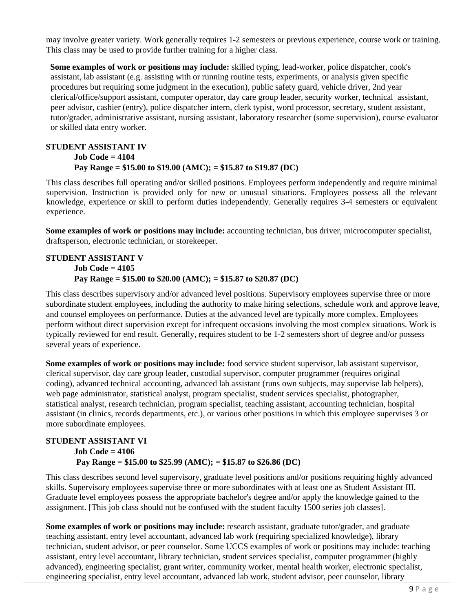may involve greater variety. Work generally requires 1-2 semesters or previous experience, course work or training. This class may be used to provide further training for a higher class.

**Some examples of work or positions may include:** skilled typing, lead-worker, police dispatcher, cook's assistant, lab assistant (e.g. assisting with or running routine tests, experiments, or analysis given specific procedures but requiring some judgment in the execution), public safety guard, vehicle driver, 2nd year clerical/office/support assistant, computer operator, day care group leader, security worker, technical assistant, peer advisor, cashier (entry), police dispatcher intern, clerk typist, word processor, secretary, student assistant, tutor/grader, administrative assistant, nursing assistant, laboratory researcher (some supervision), course evaluator or skilled data entry worker.

#### **STUDENT ASSISTANT IV Job Code = 4104 Pay Range = \$15.00 to \$19.00 (AMC); = \$15.87 to \$19.87 (DC)**

This class describes full operating and/or skilled positions. Employees perform independently and require minimal supervision. Instruction is provided only for new or unusual situations. Employees possess all the relevant knowledge, experience or skill to perform duties independently. Generally requires 3-4 semesters or equivalent experience.

**Some examples of work or positions may include:** accounting technician, bus driver, microcomputer specialist, draftsperson, electronic technician, or storekeeper.

#### **STUDENT ASSISTANT V Job Code = 4105 Pay Range = \$15.00 to \$20.00 (AMC); = \$15.87 to \$20.87 (DC)**

This class describes supervisory and/or advanced level positions. Supervisory employees supervise three or more subordinate student employees, including the authority to make hiring selections, schedule work and approve leave, and counsel employees on performance. Duties at the advanced level are typically more complex. Employees perform without direct supervision except for infrequent occasions involving the most complex situations. Work is typically reviewed for end result. Generally, requires student to be 1-2 semesters short of degree and/or possess several years of experience.

**Some examples of work or positions may include:** food service student supervisor, lab assistant supervisor, clerical supervisor, day care group leader, custodial supervisor, computer programmer (requires original coding), advanced technical accounting, advanced lab assistant (runs own subjects, may supervise lab helpers), web page administrator, statistical analyst, program specialist, student services specialist, photographer, statistical analyst, research technician, program specialist, teaching assistant, accounting technician, hospital assistant (in clinics, records departments, etc.), or various other positions in which this employee supervises 3 or more subordinate employees.

#### **STUDENT ASSISTANT VI Job Code = 4106 Pay Range = \$15.00 to \$25.99 (AMC); = \$15.87 to \$26.86 (DC)**

This class describes second level supervisory, graduate level positions and/or positions requiring highly advanced skills. Supervisory employees supervise three or more subordinates with at least one as Student Assistant III. Graduate level employees possess the appropriate bachelor's degree and/or apply the knowledge gained to the assignment. [This job class should not be confused with the student faculty 1500 series job classes].

**Some examples of work or positions may include:** research assistant, graduate tutor/grader, and graduate teaching assistant, entry level accountant, advanced lab work (requiring specialized knowledge), library technician, student advisor, or peer counselor. Some UCCS examples of work or positions may include: teaching assistant, entry level accountant, library technician, student services specialist, computer programmer (highly advanced), engineering specialist, grant writer, community worker, mental health worker, electronic specialist, engineering specialist, entry level accountant, advanced lab work, student advisor, peer counselor, library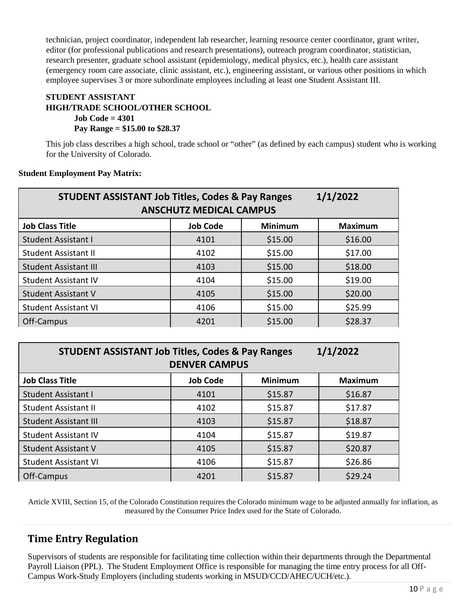technician, project coordinator, independent lab researcher, learning resource center coordinator, grant writer, editor (for professional publications and research presentations), outreach program coordinator, statistician, research presenter, graduate school assistant (epidemiology, medical physics, etc.), health care assistant (emergency room care associate, clinic assistant, etc.), engineering assistant, or various other positions in which employee supervises 3 or more subordinate employees including at least one Student Assistant III.

#### **STUDENT ASSISTANT HIGH/TRADE SCHOOL/OTHER SCHOOL Job Code = 4301 Pay Range = \$15.00 to \$28.37**

This job class describes a high school, trade school or "other" (as defined by each campus) student who is working for the University of Colorado.

#### **Student Employment Pay Matrix:**

| <b>STUDENT ASSISTANT Job Titles, Codes &amp; Pay Ranges</b> | <b>ANSCHUTZ MEDICAL CAMPUS</b> |                | 1/1/2022       |
|-------------------------------------------------------------|--------------------------------|----------------|----------------|
| <b>Job Class Title</b>                                      | <b>Job Code</b>                | <b>Minimum</b> | <b>Maximum</b> |
| <b>Student Assistant I</b>                                  | 4101                           | \$15.00        | \$16.00        |
| <b>Student Assistant II</b>                                 | 4102                           | \$15.00        | \$17.00        |
| <b>Student Assistant III</b>                                | 4103                           | \$15.00        | \$18.00        |
| <b>Student Assistant IV</b>                                 | 4104                           | \$15.00        | \$19.00        |
| <b>Student Assistant V</b>                                  | 4105                           | \$15.00        | \$20.00        |
| <b>Student Assistant VI</b>                                 | 4106                           | \$15.00        | \$25.99        |
| Off-Campus                                                  | 4201                           | \$15.00        | \$28.37        |

| <b>STUDENT ASSISTANT Job Titles, Codes &amp; Pay Ranges</b><br>1/1/2022<br><b>DENVER CAMPUS</b> |                 |                |                |
|-------------------------------------------------------------------------------------------------|-----------------|----------------|----------------|
| <b>Job Class Title</b>                                                                          | <b>Job Code</b> | <b>Minimum</b> | <b>Maximum</b> |
| Student Assistant I                                                                             | 4101            | \$15.87        | \$16.87        |
| <b>Student Assistant II</b>                                                                     | 4102            | \$15.87        | \$17.87        |
| <b>Student Assistant III</b>                                                                    | 4103            | \$15.87        | \$18.87        |
| <b>Student Assistant IV</b>                                                                     | 4104            | \$15.87        | \$19.87        |
| <b>Student Assistant V</b>                                                                      | 4105            | \$15.87        | \$20.87        |
| <b>Student Assistant VI</b>                                                                     | 4106            | \$15.87        | \$26.86        |
| Off-Campus                                                                                      | 4201            | \$15.87        | \$29.24        |

<span id="page-9-0"></span>Article XVIII, Section 15, of the Colorado Constitution requires the Colorado minimum wage to be adjusted annually for inflation, as measured by the Consumer Price Index used for the State of Colorado.

#### **Time Entry Regulation**

Supervisors of students are responsible for facilitating time collection within their departments through the Departmental Payroll Liaison (PPL). The Student Employment Office is responsible for managing the time entry process for all Off-Campus Work-Study Employers (including students working in MSUD/CCD/AHEC/UCH/etc.).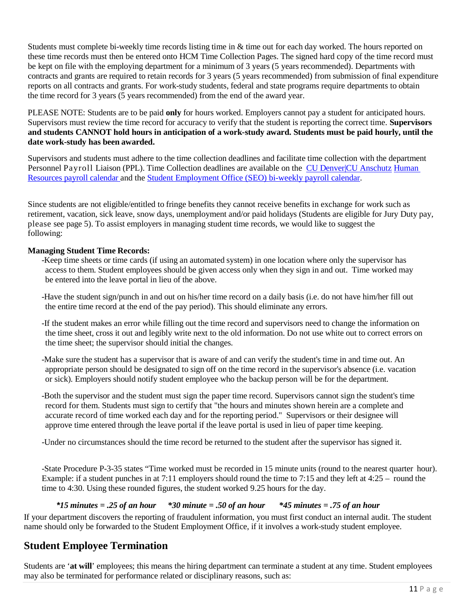Students must complete bi-weekly time records listing time in & time out for each day worked. The hours reported on these time records must then be entered onto HCM Time Collection Pages. The signed hard copy of the time record must be kept on file with the employing department for a minimum of 3 years (5 years recommended). Departments with contracts and grants are required to retain records for 3 years (5 years recommended) from submission of final expenditure reports on all contracts and grants. For work-study students, federal and state programs require departments to obtain the time record for 3 years (5 years recommended) from the end of the award year.

PLEASE NOTE: Students are to be paid **only** for hours worked. Employers cannot pay a student for anticipated hours. Supervisors must review the time record for accuracy to verify that the student is reporting the correct time. **Supervisors and students CANNOT hold hours in anticipation of a work-study award. Students must be paid hourly, until the date work-study has been awarded.**

Supervisors and students must adhere to the time collection deadlines and facilitate time collection with the department Personnel Payroll Liaison (PPL). Time Collection deadlines are available on the CU [Denver|CU](https://www.cu.edu/hcm-community/pay-employees/payroll-production-calendars) Anschutz [Human](https://www.cu.edu/hcm-community/pay-employees/payroll-production-calendars) [Resources](https://www.cu.edu/hcm-community/pay-employees/payroll-production-calendars) payroll calendar and the [Student Employment Office \(SEO\) bi-weekly payroll calendar.](http://www.ucdenver.edu/student-services/resources/CostsAndFinancing/FASO/Do/StudentEmployment/Documents/2019-2020/2019-2020%20Student%20Employment%20Bi-Weekly%20Payroll%20Calendar.pdf)

Since students are not eligible/entitled to fringe benefits they cannot receive benefits in exchange for work such as retirement, vacation, sick leave, snow days, unemployment and/or paid holidays (Students are eligible for Jury Duty pay, please see page 5). To assist employers in managing student time records, we would like to suggest the following:

#### **Managing Student Time Records:**

- -Keep time sheets or time cards (if using an automated system) in one location where only the supervisor has access to them. Student employees should be given access only when they sign in and out. Time worked may be entered into the leave portal in lieu of the above.
- -Have the student sign/punch in and out on his/her time record on a daily basis (i.e. do not have him/her fill out the entire time record at the end of the pay period). This should eliminate any errors.
- -If the student makes an error while filling out the time record and supervisors need to change the information on the time sheet, cross it out and legibly write next to the old information. Do not use white out to correct errors on the time sheet; the supervisor should initial the changes.
- -Make sure the student has a supervisor that is aware of and can verify the student's time in and time out. An appropriate person should be designated to sign off on the time record in the supervisor's absence (i.e. vacation or sick). Employers should notify student employee who the backup person will be for the department.
- -Both the supervisor and the student must sign the paper time record. Supervisors cannot sign the student's time record for them. Students must sign to certify that "the hours and minutes shown herein are a complete and accurate record of time worked each day and for the reporting period." Supervisors or their designee will approve time entered through the leave portal if the leave portal is used in lieu of paper time keeping.
- -Under no circumstances should the time record be returned to the student after the supervisor has signed it.

-State Procedure P-3-35 states "Time worked must be recorded in 15 minute units (round to the nearest quarter hour). Example: if a student punches in at 7:11 employers should round the time to 7:15 and they left at 4:25 – round the time to 4:30. Using these rounded figures, the student worked 9.25 hours for the day.

#### *\*15 minutes = .25 of an hour \*30 minute = .50 of an hour \*45 minutes = .75 of an hour*

If your department discovers the reporting of fraudulent information, you must first conduct an internal audit. The student name should only be forwarded to the Student Employment Office, if it involves a work-study student employee.

#### <span id="page-10-0"></span>**Student Employee Termination**

Students are '**at will**' employees; this means the hiring department can terminate a student at any time. Student employees may also be terminated for performance related or disciplinary reasons, such as: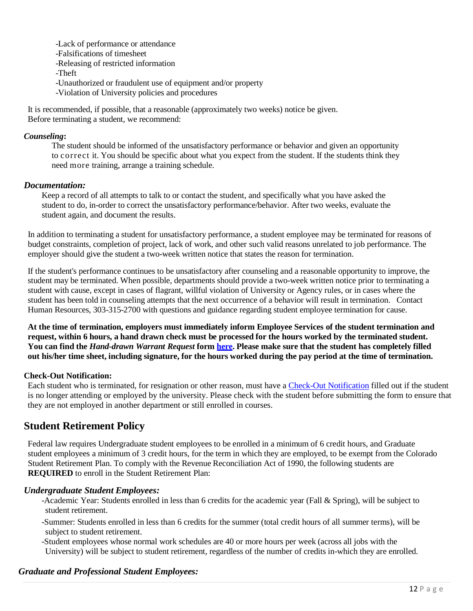-Lack of performance or attendance

-Falsifications of timesheet

-Releasing of restricted information

-Theft

-Unauthorized or fraudulent use of equipment and/or property

-Violation of University policies and procedures

It is recommended, if possible, that a reasonable (approximately two weeks) notice be given. Before terminating a student, we recommend:

#### *Counseling***:**

The student should be informed of the unsatisfactory performance or behavior and given an opportunity to correct it. You should be specific about what you expect from the student. If the students think they need more training, arrange a training schedule.

#### *Documentation:*

Keep a record of all attempts to talk to or contact the student, and specifically what you have asked the student to do, in-order to correct the unsatisfactory performance/behavior. After two weeks, evaluate the student again, and document the results.

In addition to terminating a student for unsatisfactory performance, a student employee may be terminated for reasons of budget constraints, completion of project, lack of work, and other such valid reasons unrelated to job performance. The employer should give the student a two-week written notice that states the reason for termination.

If the student's performance continues to be unsatisfactory after counseling and a reasonable opportunity to improve, the student may be terminated. When possible, departments should provide a two-week written notice prior to terminating a student with cause, except in cases of flagrant, willful violation of University or Agency rules, or in cases where the student has been told in counseling attempts that the next occurrence of a behavior will result in termination. Contact Human Resources, 303-315-2700 with questions and guidance regarding student employee termination for cause.

**At the time of termination, employers must immediately inform Employee Services of the student termination and**  request, within 6 hours, a hand drawn check must be processed for the hours worked by the terminated student. You can find the *[Hand-drawn](https://www.cu.edu/sites/default/files/policies/docs/Handdrawn_Warrant_Request%20rev_13.08.23%20%20Node%20963.pdf) Warrant Request* form [here.](https://www.cu.edu/hcm-community/policies/hand-drawn-warrant) Please make sure that the student has completely filled out his/her time sheet, including signature, for the hours worked during the pay period at the time of termination.

#### <span id="page-11-0"></span>**Check-Out Notification:**

Each student who is terminated, for resignation or other reason, must have a [Check-Out Notification](http://www.ucdenver.edu/about/departments/HR/resourcesforemployees/employeecategories/Pages/studentworkers.aspx) filled out if the student is no longer attending or employed by the university. Please check with the student before submitting the form to ensure that they are not employed in another department or still enrolled in courses.

#### <span id="page-11-1"></span>**Student Retirement Policy**

Federal law requires Undergraduate student employees to be enrolled in a minimum of 6 credit hours, and Graduate student employees a minimum of 3 credit hours, for the term in which they are employed, to be exempt from the Colorado Student Retirement Plan. To comply with the Revenue Reconciliation Act of 1990, the following students are **REQUIRED** to enroll in the Student Retirement Plan:

#### *Undergraduate Student Employees:*

- -Academic Year: Students enrolled in less than 6 credits for the academic year (Fall & Spring), will be subject to student retirement.
- -Summer: Students enrolled in less than 6 credits for the summer (total credit hours of all summer terms), will be subject to student retirement.
- -Student employees whose normal work schedules are 40 or more hours per week (across all jobs with the University) will be subject to student retirement, regardless of the number of credits in-which they are enrolled.

#### *Graduate and Professional Student Employees:*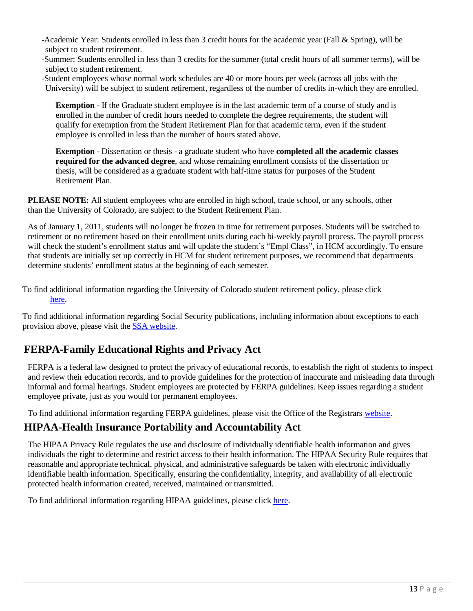- -Academic Year: Students enrolled in less than 3 credit hours for the academic year (Fall & Spring), will be subject to student retirement.
- -Summer: Students enrolled in less than 3 credits for the summer (total credit hours of all summer terms), will be subject to student retirement.
- -Student employees whose normal work schedules are 40 or more hours per week (across all jobs with the University) will be subject to student retirement, regardless of the number of credits in-which they are enrolled.

**Exemption** - If the Graduate student employee is in the last academic term of a course of study and is enrolled in the number of credit hours needed to complete the degree requirements, the student will qualify for exemption from the Student Retirement Plan for that academic term, even if the student employee is enrolled in less than the number of hours stated above.

**Exemption** - Dissertation or thesis - a graduate student who have **completed all the academic classes required for the advanced degree**, and whose remaining enrollment consists of the dissertation or thesis, will be considered as a graduate student with half-time status for purposes of the Student Retirement Plan.

**PLEASE NOTE:** All student employees who are enrolled in high school, trade school, or any schools, other than the University of Colorado, are subject to the Student Retirement Plan.

As of January 1, 2011, students will no longer be frozen in time for retirement purposes. Students will be switched to retirement or no retirement based on their enrollment units during each bi-weekly payroll process. The payroll process will check the student's enrollment status and will update the student's "Empl Class", in HCM accordingly. To ensure that students are initially set up correctly in HCM for student retirement purposes, we recommend that departments determine students' enrollment status at the beginning of each semester.

To find additional information regarding the University of Colorado student retirement policy, please click [here.](https://www.cu.edu/employee-services/benefits/student-employee-retirement)

To find additional information regarding Social Security publications, including information about exceptions to each provision above, please visit the [SSA website.](http://www.socialsecurity.gov/)

#### <span id="page-12-0"></span>**FERPA-Family Educational Rights and Privacy Act**

FERPA is a federal law designed to protect the privacy of educational records, to establish the right of students to inspect and review their education records, and to provide guidelines for the protection of inaccurate and misleading data through informal and formal hearings. Student employees are protected by FERPA guidelines. Keep issues regarding a student employee private, just as you would for permanent employees.

To find additional information regarding FERPA guidelines, please visit the Office of the Registrars [website.](http://www.ucdenver.edu/student-services/resources/Registrar-dev/StudentServices/Policies/Pages/default.aspx)

#### <span id="page-12-1"></span>**HIPAA-Health Insurance Portability and Accountability Act**

The HIPAA Privacy Rule regulates the use and disclosure of individually identifiable health information and gives individuals the right to determine and restrict access to their health information. The HIPAA Security Rule requires that reasonable and appropriate technical, physical, and administrative safeguards be taken with electronic individually identifiable health information. Specifically, ensuring the confidentiality, integrity, and availability of all electronic protected health information created, received, maintained or transmitted.

To find additional information regarding HIPAA guidelines, please click [here.](http://www.ucdenver.edu/research/ORC/HIPAA/Pages/Policy.aspx)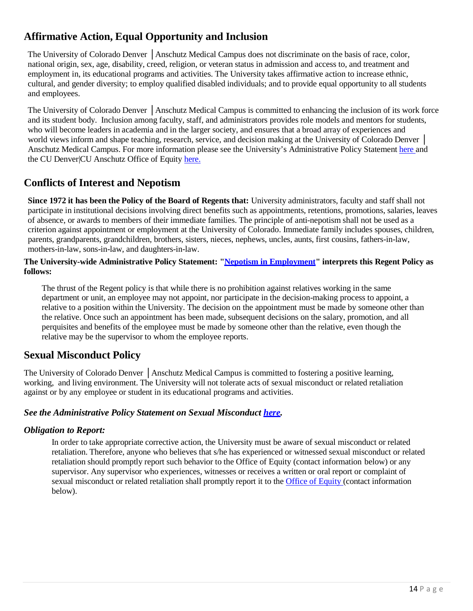#### <span id="page-13-0"></span>**Affirmative Action, Equal Opportunity and Inclusion**

The University of Colorado Denver │Anschutz Medical Campus does not discriminate on the basis of race, color, national origin, sex, age, disability, creed, religion, or veteran status in admission and access to, and treatment and employment in, its educational programs and activities. The University takes affirmative action to increase ethnic, cultural, and gender diversity; to employ qualified disabled individuals; and to provide equal opportunity to all students and employees.

The University of Colorado Denver │Anschutz Medical Campus is committed to enhancing the inclusion of its work force and its student body. Inclusion among faculty, staff, and administrators provides role models and mentors for students, who will become leaders in academia and in the larger society, and ensures that a broad array of experiences and world views inform and shape teaching, research, service, and decision making at the University of Colorado Denver │ Anschutz Medical Campus. For more information please see the University's Administrative Policy Statement [here a](https://www.cu.edu/ope/aps/5001)nd the CU Denver|CU Anschutz Office of Equity [here.](https://www.cu.edu/ope/aps/5014)

#### <span id="page-13-1"></span>**Conflicts of Interest and Nepotism**

**Since 1972 it has been the Policy of the Board of Regents that:** University administrators, faculty and staff shall not participate in institutional decisions involving direct benefits such as appointments, retentions, promotions, salaries, leaves of absence, or awards to members of their immediate families. The principle of anti-nepotism shall not be used as a criterion against appointment or employment at the University of Colorado. Immediate family includes spouses, children, parents, grandparents, grandchildren, brothers, sisters, nieces, nephews, uncles, aunts, first cousins, fathers-in-law, mothers-in-law, sons-in-law, and daughters-in-law.

#### **The University-wide Administrative Policy Statement: "Nepotism in [Employment"](https://www.cu.edu/ope/aps-5003-nepotism-employment) interprets this Regent Policy as follows:**

The thrust of the Regent policy is that while there is no prohibition against relatives working in the same department or unit, an employee may not appoint, nor participate in the decision-making process to appoint, a relative to a position within the University. The decision on the appointment must be made by someone other than the relative. Once such an appointment has been made, subsequent decisions on the salary, promotion, and all perquisites and benefits of the employee must be made by someone other than the relative, even though the relative may be the supervisor to whom the employee reports.

#### <span id="page-13-2"></span>**Sexual Misconduct Policy**

The University of Colorado Denver │Anschutz Medical Campus is committed to fostering a positive learning, working, and living environment. The University will not tolerate acts of sexual misconduct or related retaliation against or by any employee or student in its educational programs and activities.

#### *See the Administrative Policy Statement on Sexual Misconduct [here.](https://www.cu.edu/ope/aps/5014)*

#### *Obligation to Report:*

In order to take appropriate corrective action, the University must be aware of sexual misconduct or related retaliation. Therefore, anyone who believes that s/he has experienced or witnessed sexual misconduct or related retaliation should promptly report such behavior to the Office of Equity (contact information below) or any supervisor. Any supervisor who experiences, witnesses or receives a written or oral report or complaint of sexual misconduct or related retaliation shall promptly report it to the Office [of Equity](http://equity.ucdenver.edu/) (contact information below).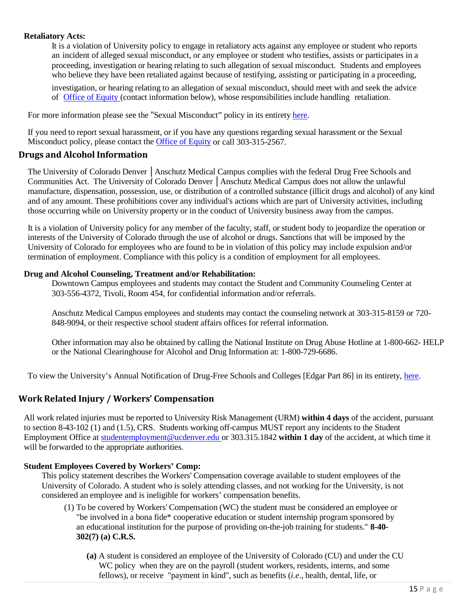#### **Retaliatory Acts:**

It is a violation of University policy to engage in retaliatory acts against any employee or student who reports an incident of alleged sexual misconduct, or any employee or student who testifies, assists or participates in a proceeding, investigation or hearing relating to such allegation of sexual misconduct. Students and employees who believe they have been retaliated against because of testifying, assisting or participating in a proceeding,

investigation, or hearing relating to an allegation of sexual misconduct, should meet with and seek the advice of Office of [Equity \(](http://equity.ucdenver.edu/)contact information below), whose responsibilities include handling retaliation.

For more information please see the "Sexual Misconduct" policy in its entirety [here.](https://www.cu.edu/ope/aps/5014)

If you need to report sexual harassment, or if you have any questions regarding sexual harassment or the Sexual Misconduct policy, please contact the [Office of Equity](http://equity.ucdenver.edu/) or call 303-315-2567.

#### <span id="page-14-0"></span>**Drugs and Alcohol Information**

The University of Colorado Denver │Anschutz Medical Campus complies with the federal Drug Free Schools and Communities Act. The University of Colorado Denver │Anschutz Medical Campus does not allow the unlawful manufacture, dispensation, possession, use, or distribution of a controlled substance (illicit drugs and alcohol) of any kind and of any amount. These prohibitions cover any individual's actions which are part of University activities, including those occurring while on University property or in the conduct of University business away from the campus.

It is a violation of University policy for any member of the faculty, staff, or student body to jeopardize the operation or interests of the University of Colorado through the use of alcohol or drugs. Sanctions that will be imposed by the University of Colorado for employees who are found to be in violation of this policy may include expulsion and/or termination of employment. Compliance with this policy is a condition of employment for all employees.

#### **Drug and Alcohol Counseling, Treatment and/or Rehabilitation:**

Downtown Campus employees and students may contact the Student and Community Counseling Center at 303-556-4372, Tivoli, Room 454, for confidential information and/or referrals.

Anschutz Medical Campus employees and students may contact the counseling network at 303-315-8159 or 720- 848-9094, or their respective school student affairs offices for referral information.

Other information may also be obtained by calling the National Institute on Drug Abuse Hotline at 1-800-662- HELP or the National Clearinghouse for Alcohol and Drug Information at: 1-800-729-6686.

To view the University's Annual Notification of Drug-Free Schools and Colleges [Edgar Part 86] in its entirety, [here.](http://www.ucdenver.edu/students/CollegeLife/Documents/1909_DrugFreeNotification.pdf)

#### <span id="page-14-1"></span>**Work Related Injury / Workers' Compensation**

All work related injuries must be reported to University Risk Management (URM) **within 4 days** of the accident, pursuant to section 8-43-102 (1) and (1.5), CRS. Students working off-campus MUST report any incidents to the Student Employment Office at [studentemployment@ucdenver.edu](mailto:studentemployment@ucdenver.edu) or 303.315.1842 **within 1 day** of the accident, at which time it will be forwarded to the appropriate authorities.

#### **Student Employees Covered by Workers' Comp:**

This policy statement describes the Workers' Compensation coverage available to student employees of the University of Colorado. A student who is solely attending classes, and not working for the University, is not considered an employee and is ineligible for workers' compensation benefits.

- (1) To be covered by Workers' Compensation (WC) the student must be considered an employee or "be involved in a bona fide\* cooperative education or student internship program sponsored by an educational institution for the purpose of providing on-the-job training for students." **8-40- 302(7) (a) C.R.S.**
	- **(a)** A student is considered an employee of the University of Colorado (CU) and under the CU WC policy when they are on the payroll (student workers, residents, interns, and some fellows), or receive "payment in kind", such as benefits (*i.e*., health, dental, life, or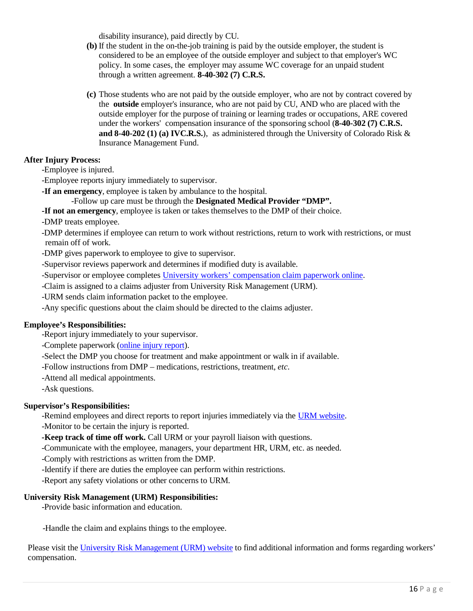disability insurance), paid directly by CU.

- **(b)** If the student in the on-the-job training is paid by the outside employer, the student is considered to be an employee of the outside employer and subject to that employer's WC policy. In some cases, the employer may assume WC coverage for an unpaid student through a written agreement. **8-40-302 (7) C.R.S.**
- **(c)** Those students who are not paid by the outside employer, who are not by contract covered by the **outside** employer's insurance, who are not paid by CU, AND who are placed with the outside employer for the purpose of training or learning trades or occupations, ARE covered under the workers' compensation insurance of the sponsoring school (**8-40-302 (7) C.R.S. and 8-40-202 (1) (a) IVC.R.S.**), as administered through the University of Colorado Risk & Insurance Management Fund.

#### **After Injury Process:**

-Employee is injured.

-Employee reports injury immediately to supervisor.

**-If an emergency**, employee is taken by ambulance to the hospital.

#### -Follow up care must be through the **Designated Medical Provider "DMP".**

**-If not an emergency**, employee is taken or takes themselves to the DMP of their choice.

-DMP treats employee.

-DMP determines if employee can return to work without restrictions, return to work with restrictions, or must remain off of work.

-DMP gives paperwork to employee to give to supervisor.

-Supervisor reviews paperwork and determines if modified duty is available.

-Supervisor or employee completes [University workers' compensation claim paperwork online.](https://www.cu.edu/content/fileclaim)

-Claim is assigned to a claims adjuster from University Risk Management (URM).

-URM sends claim information packet to the employee.

-Any specific questions about the claim should be directed to the claims adjuster.

#### **Employee's Responsibilities:**

-Report injury immediately to your supervisor.

-Complete paperwork [\(online](https://www.cu.edu/content/fileclaim) injury report).

-Select the DMP you choose for treatment and make appointment or walk in if available.

-Follow instructions from DMP – medications, restrictions, treatment, *etc*.

-Attend all medical appointments.

-Ask questions.

#### **Supervisor's Responsibilities:**

-Remind employees and direct reports to report injuries immediately via the URM [website.](https://www.cu.edu/risk) -Monitor to be certain the injury is reported.

**-Keep track of time off work.** Call URM or your payroll liaison with questions.

-Communicate with the employee, managers, your department HR, URM, etc. as needed.

-Comply with restrictions as written from the DMP.

-Identify if there are duties the employee can perform within restrictions.

-Report any safety violations or other concerns to URM.

#### **University Risk Management (URM) Responsibilities:**

-Provide basic information and education.

-Handle the claim and explains things to the employee.

Please visit the University Risk [Management](https://www.cu.edu/content/workerscompensation) (URM) website to find additional information and forms regarding workers' compensation.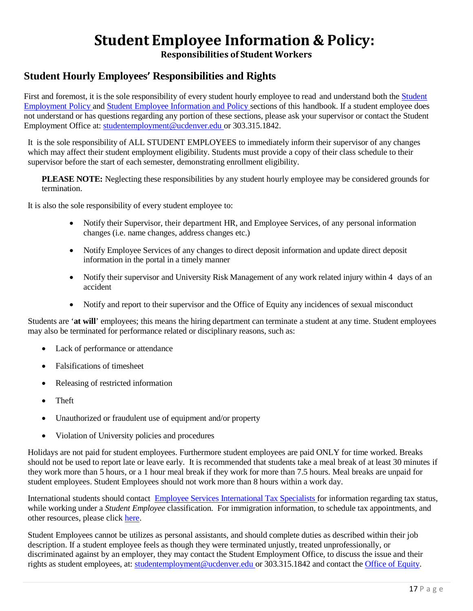## **Student Employee Information & Policy:**

**Responsibilities of Student Workers**

#### <span id="page-16-1"></span><span id="page-16-0"></span>**Student Hourly Employees' Responsibilities and Rights**

First and foremost, it is the sole responsibility of every student hourly employee to read and understand both the [Student](#page-5-1) [Employment](#page-5-1) Policy and Student Employee [Information](#page-16-0) and Policy sections of this handbook. If a student employee does not understand or has questions regarding any portion of these sections, please ask your supervisor or contact the Student Employment Office at: [studentemployment@ucdenver.edu](mailto:studentemployment@ucdenver.edu) or 303.315.1842.

It is the sole responsibility of ALL STUDENT EMPLOYEES to immediately inform their supervisor of any changes which may affect their student employment eligibility. Students must provide a copy of their class schedule to their supervisor before the start of each semester, demonstrating enrollment eligibility.

**PLEASE NOTE:** Neglecting these responsibilities by any student hourly employee may be considered grounds for termination.

It is also the sole responsibility of every student employee to:

- Notify their Supervisor, their department HR, and Employee Services, of any personal information changes (i.e. name changes, address changes etc.)
- Notify Employee Services of any changes to direct deposit information and update direct deposit information in the portal in a timely manner
- Notify their supervisor and University Risk Management of any work related injury within 4 days of an accident
- Notify and report to their supervisor and the Office of Equity any incidences of sexual misconduct

Students are '**at will**' employees; this means the hiring department can terminate a student at any time. Student employees may also be terminated for performance related or disciplinary reasons, such as:

- Lack of performance or attendance
- Falsifications of timesheet
- Releasing of restricted information
- Theft
- Unauthorized or fraudulent use of equipment and/or property
- Violation of University policies and procedures

Holidays are not paid for student employees. Furthermore student employees are paid ONLY for time worked. Breaks should not be used to report late or leave early. It is recommended that students take a meal break of at least 30 minutes if they work more than 5 hours, or a 1 hour meal break if they work for more than 7.5 hours. Meal breaks are unpaid for student employees. Student Employees should not work more than 8 hours within a work day.

International students should contact Employee Services [International](https://www.cu.edu/blog/work-life/new-international-employees-must-meet-international-tax-specialist) Tax Specialists for information regarding tax status, while working under a *Student Employee* classification. For immigration information, to schedule tax appointments, and other resources, please click [here.](https://www.cu.edu/employee-services/payroll/international-employee-payroll)

Student Employees cannot be utilizes as personal assistants, and should complete duties as described within their job description. If a student employee feels as though they were terminated unjustly, treated unprofessionally, or discriminated against by an employer, they may contact the Student Employment Office, to discuss the issue and their rights as student employees, at: [studentemployment@ucdenver.edu](mailto:studentemployment@ucdenver.edu) or 303.315.1842 and contact the Office of [Equity.](http://equity.ucdenver.edu/)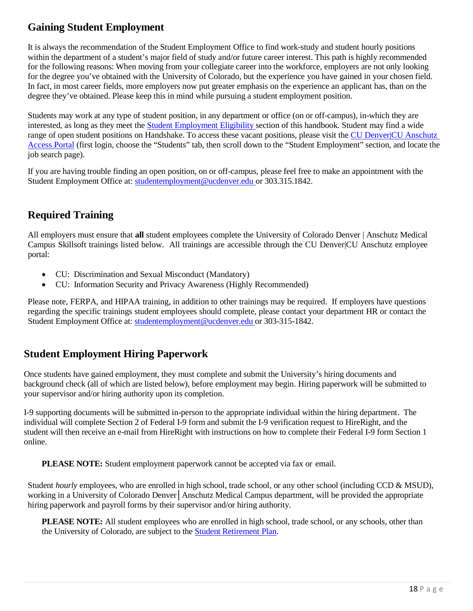#### <span id="page-17-0"></span>**Gaining Student Employment**

It is always the recommendation of the Student Employment Office to find work-study and student hourly positions within the department of a student's major field of study and/or future career interest. This path is highly recommended for the following reasons: When moving from your collegiate career into the workforce, employers are not only looking for the degree you've obtained with the University of Colorado, but the experience you have gained in your chosen field. In fact, in most career fields, more employers now put greater emphasis on the experience an applicant has, than on the degree they've obtained. Please keep this in mind while pursuing a student employment position.

Students may work at any type of student position, in any department or office (on or off-campus), in-which they are interested, as long as they meet the Student [Employment](#page-5-2) Eligibility section of this handbook. Student may find a wide range of open student positions on Handshake. To access these vacant positions, please visit the [CU Denver|CU Anschutz](https://passport.ucdenver.edu/login.php)  [Access Portal](https://passport.ucdenver.edu/login.php) (first login, choose the "Students" tab, then scroll down to the "Student Employment" section, and locate the job search page).

If you are having trouble finding an open position, on or off-campus, please feel free to make an appointment with the Student Employment Office at: [studentemployment@ucdenver.edu](mailto:studentemployment@ucdenver.edu) or 303.315.1842.

#### <span id="page-17-1"></span>**Required Training**

All employers must ensure that **all** student employees complete the University of Colorado Denver | Anschutz Medical Campus Skillsoft trainings listed below. All trainings are accessible through the CU Denver|CU Anschutz employee portal:

- CU: Discrimination and Sexual Misconduct (Mandatory)
- CU: Information Security and Privacy Awareness (Highly Recommended)

Please note, FERPA, and HIPAA training, in addition to other trainings may be required. If employers have questions regarding the specific trainings student employees should complete, please contact your department HR or contact the Student Employment Office at: [studentemployment@ucdenver.edu](mailto:studentemployment@ucdenver.edu) or 303-315-1842.

#### <span id="page-17-2"></span>**Student Employment Hiring Paperwork**

Once students have gained employment, they must complete and submit the University's hiring documents and background check (all of which are listed below), before employment may begin. Hiring paperwork will be submitted to your supervisor and/or hiring authority upon its completion.

I-9 supporting documents will be submitted in-person to the appropriate individual within the hiring department. The individual will complete Section 2 of Federal I-9 form and submit the I-9 verification request to HireRight, and the student will then receive an e-mail from HireRight with instructions on how to complete their Federal I-9 form Section 1 online.

**PLEASE NOTE:** Student employment paperwork cannot be accepted via fax or email.

Student *hourly* employees, who are enrolled in high school, trade school, or any other school (including CCD & MSUD), working in a University of Colorado Denver│Anschutz Medical Campus department, will be provided the appropriate hiring paperwork and payroll forms by their supervisor and/or hiring authority.

**PLEASE NOTE:** All student employees who are enrolled in high school, trade school, or any schools, other than the University of Colorado, are subject to the Student [Retirement](https://www.cu.edu/employee-services/benefits-wellness/student-employee/student-employee-retirement-program) Plan.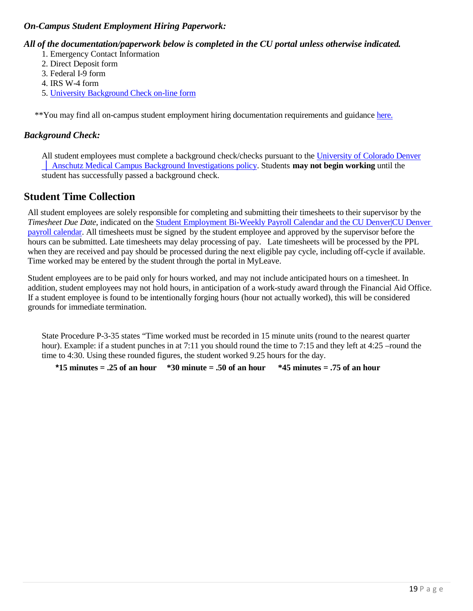#### *On-Campus Student Employment Hiring Paperwork:*

#### *All of the documentation/paperwork below is completed in the CU portal unless otherwise indicated.*

- 1. Emergency Contact Information
- 2. Direct Deposit form
- 3. Federal I-9 form
- 4. IRS W-4 form
- 5. University [Background](https://forms.ucdenver.edu/secure/background_check_request) Check on-line form

\*\*You may find all on-campus student employment hiring documentation requirements and guidance [here.](http://www.ucdenver.edu/student-services/resources/CostsAndFinancing/FASO/Do/StudentEmployment/Pages/Forms.aspx)

#### *Background Check:*

All student employees must complete a background check/checks pursuant to the University [of Colorado](https://www.cu.edu/ope/aps/5050) Denver │ Anschutz Medical [Campus Background Investigations policy. S](https://www.cu.edu/ope/aps/5050)tudents **may not begin working** until the student has successfully passed a background check.

#### <span id="page-18-0"></span>**Student Time Collection**

All student employees are solely responsible for completing and submitting their timesheets to their supervisor by the *Timesheet Due Date*, indicated on the Student [Employment](http://www.ucdenver.edu/student-services/resources/CostsAndFinancing/FASO/Do/StudentEmployment/Documents/2019-2020/2019-2020%20Student%20Employment%20Bi-Weekly%20Payroll%20Calendar.pdf) Bi-Weekly Payroll Calendar and the CU [Denver|CU](https://www.cu.edu/hcm-community/pay-employees/payroll-production-calendars) Denver payroll [calendar.](https://www.cu.edu/hcm-community/pay-employees/payroll-production-calendars) All timesheets must be signed by the student employee and approved by the supervisor before the hours can be submitted. Late timesheets may delay processing of pay. Late timesheets will be processed by the PPL when they are received and pay should be processed during the next eligible pay cycle, including off-cycle if available. Time worked may be entered by the student through the portal in MyLeave.

Student employees are to be paid only for hours worked, and may not include anticipated hours on a timesheet. In addition, student employees may not hold hours, in anticipation of a work-study award through the Financial Aid Office. If a student employee is found to be intentionally forging hours (hour not actually worked), this will be considered grounds for immediate termination.

State Procedure P-3-35 states "Time worked must be recorded in 15 minute units (round to the nearest quarter hour). Example: if a student punches in at 7:11 you should round the time to 7:15 and they left at 4:25 –round the time to 4:30. Using these rounded figures, the student worked 9.25 hours for the day.

**\*15 minutes = .25 of an hour \*30 minute = .50 of an hour \*45 minutes = .75 of an hour**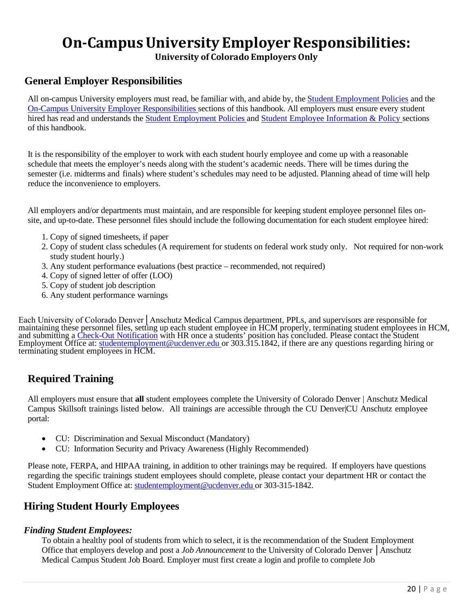## **On-Campus University Employer Responsibilities:**

**University of Colorado Employers Only**

#### <span id="page-19-1"></span><span id="page-19-0"></span>**General Employer Responsibilities**

All on-campus University employers must read, be familiar with, and abide by, the [Student Employment Policies](#page-5-1) and the On-Campus University [Employer Responsibilities](#page-19-0) sections of this handbook. All employers must ensure every student hired has read and understands the Student [Employment](#page-5-1) Policies and [Student Employee Information & Policy](#page-16-0) sections of this handbook.

It is the responsibility of the employer to work with each student hourly employee and come up with a reasonable schedule that meets the employer's needs along with the student's academic needs. There will be times during the semester (i.e. midterms and finals) where student's schedules may need to be adjusted. Planning ahead of time will help reduce the inconvenience to employers.

All employers and/or departments must maintain, and are responsible for keeping student employee personnel files onsite, and up-to-date. These personnel files should include the following documentation for each student employee hired:

- 1. Copy of signed timesheets, if paper
- 2. Copy of student class schedules (A requirement for students on federal work study only. Not required for non-work study student hourly.)
- 3. Any student performance evaluations (best practice recommended, not required)
- 4. Copy of signed letter of offer (LOO)
- 5. Copy of student job description
- 6. Any student performance warnings

Each University of Colorado Denver│Anschutz Medical Campus department, PPLs, and supervisors are responsible for maintaining these personnel files, setting up each student employee in HCM properly, terminating student employees in HCM, and submitting a *Check-Out Notification* with HR once a students' position has concluded. Please contact the Student Employment Office at: [studentemployment@ucdenver.edu o](mailto:studentemployment@ucdenver.edu)r 303.315.1842, if there are any questions regarding hiring or terminating student employees in HCM.

#### **Required Training**

All employers must ensure that **all** student employees complete the University of Colorado Denver | Anschutz Medical Campus Skillsoft trainings listed below. All trainings are accessible through the CU Denver|CU Anschutz employee portal:

- CU: Discrimination and Sexual Misconduct (Mandatory)
- CU: Information Security and Privacy Awareness (Highly Recommended)

Please note, FERPA, and HIPAA training, in addition to other trainings may be required. If employers have questions regarding the specific trainings student employees should complete, please contact your department HR or contact the Student Employment Office at: [studentemployment@ucdenver.edu](mailto:studentemployment@ucdenver.edu) or 303-315-1842.

#### <span id="page-19-2"></span>**Hiring Student Hourly Employees**

#### *Finding Student Employees:*

To obtain a healthy pool of students from which to select, it is the recommendation of the Student Employment Office that employers develop and post a *Job Announcement* to the University of Colorado Denver │Anschutz Medical Campus Student Job Board. Employer must first create a login and profile to complete Job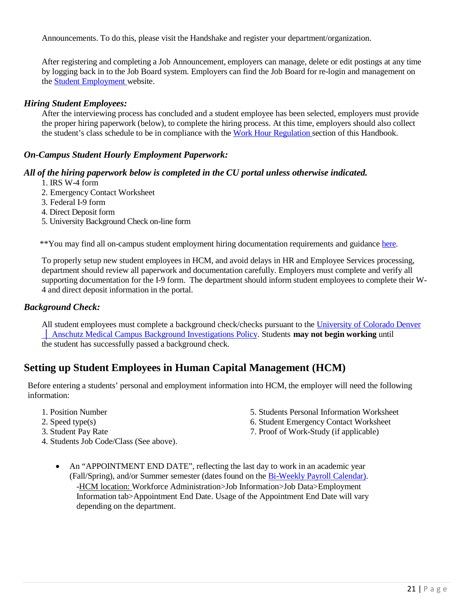Announcements. To do this, please visit the Handshake and register your department/organization.

After registering and completing a Job Announcement, employers can manage, delete or edit postings at any time by logging back in to the Job Board system. Employers can find the Job Board for re-login and management on the [Student Employment](http://www.ucdenver.edu/student-services/resources/CostsAndFinancing/FASO/Do/StudentEmployment/Pages/StudentEmployment.aspx) website.

#### *Hiring Student Employees:*

After the interviewing process has concluded and a student employee has been selected, employers must provide the proper hiring paperwork (below), to complete the hiring process. At this time, employers should also collect the student's class schedule to be in compliance with the Work Hour [Regulation](#page-5-0) section of this Handbook.

#### *On-Campus Student Hourly Employment Paperwork:*

#### *All of the hiring paperwork below is completed in the CU portal unless otherwise indicated.*

- 1. IRS W-4 form
- 2. Emergency Contact Worksheet
- 3. Federal I-9 form
- 4. Direct Deposit form
- 5. University Background Check on-line form

\*\*You may find all on-campus student employment hiring documentation requirements and guidance [here.](http://www.ucdenver.edu/student-services/resources/CostsAndFinancing/FASO/Do/StudentEmployment/Pages/Forms.aspx)

To properly setup new student employees in HCM, and avoid delays in HR and Employee Services processing, department should review all paperwork and documentation carefully. Employers must complete and verify all supporting documentation for the I-9 form. The department should inform student employees to complete their W-4 and direct deposit information in the portal.

#### *Background Check:*

All student employees must complete a background check/checks pursuant to the University [of Colorado](https://www.cu.edu/ope/aps/5050) Denver │ Anschutz Medical [Campus Background Investigations Policy. S](https://www.cu.edu/ope/aps/5050)tudents **may not begin working** until the student has successfully passed a background check.

#### <span id="page-20-0"></span>**Setting up Student Employees in Human Capital Management (HCM)**

Before entering a students' personal and employment information into HCM, the employer will need the following information:

- 
- 
- 
- 1. Position Number 5. Students Personal Information Worksheet
- 2. Speed type(s) 6. Student Emergency Contact Worksheet
- 3. Student Pay Rate 7. Proof of Work-Study (if applicable)
- 4. Students Job Code/Class (See above).
	- An "APPOINTMENT END DATE", reflecting the last day to work in an academic year (Fall/Spring), and/or Summer semester (dates found on the [Bi-Weekly](http://www.ucdenver.edu/student-services/resources/CostsAndFinancing/FASO/Do/StudentEmployment/Documents/2019-2020/2019-2020%20Student%20Employment%20Bi-Weekly%20Payroll%20Calendar.pdf) Payroll Calendar). -HCM location: Workforce Administration>Job Information>Job Data>Employment Information tab>Appointment End Date. Usage of the Appointment End Date will vary depending on the department.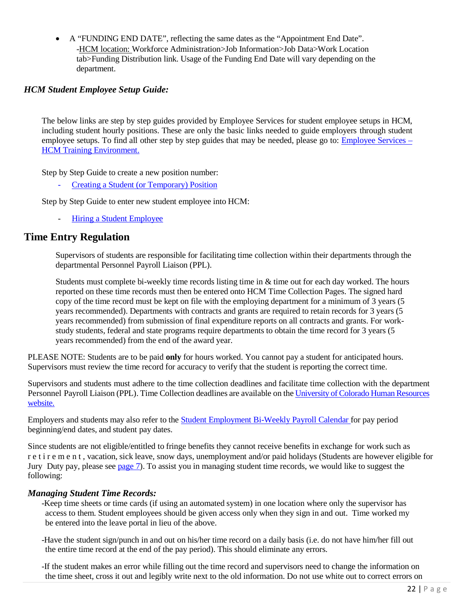• A "FUNDING END DATE", reflecting the same dates as the "Appointment End Date". -HCM location: Workforce Administration>Job Information>Job Data>Work Location tab>Funding Distribution link. Usage of the Funding End Date will vary depending on the department.

#### <span id="page-21-0"></span>*HCM Student Employee Setup Guide:*

The below links are step by step guides provided by Employee Services for student employee setups in HCM, including student hourly positions. These are only the basic links needed to guide employers through student employee setups. To find all other step by step guides that may be needed, please go to: [Employee](http://www.cu.edu/hcm-community/hcm-access-training) Services – HCM Training [Environment.](http://www.cu.edu/hcm-community/hcm-access-training)

Step by Step Guide to create a new position number:

- Creating a Student (or [Temporary\)](https://www.cu.edu/hcm-community/hire-or-rehire) Position

Step by Step Guide to enter new student employee into HCM:

Hiring a [Student Employee](https://www.cu.edu/docs/sbs-hiring-employee)

#### <span id="page-21-1"></span>**Time Entry Regulation**

Supervisors of students are responsible for facilitating time collection within their departments through the departmental Personnel Payroll Liaison (PPL).

Students must complete bi-weekly time records listing time in & time out for each day worked. The hours reported on these time records must then be entered onto HCM Time Collection Pages. The signed hard copy of the time record must be kept on file with the employing department for a minimum of 3 years (5 years recommended). Departments with contracts and grants are required to retain records for 3 years (5 years recommended) from submission of final expenditure reports on all contracts and grants. For workstudy students, federal and state programs require departments to obtain the time record for 3 years (5 years recommended) from the end of the award year.

PLEASE NOTE: Students are to be paid **only** for hours worked. You cannot pay a student for anticipated hours. Supervisors must review the time record for accuracy to verify that the student is reporting the correct time.

Supervisors and students must adhere to the time collection deadlines and facilitate time collection with the department Personnel Payroll Liaison (PPL). Time Collection deadlines are available on the [University of Colorado Human Resources](https://www.cu.edu/hcm-community/pay-employees/payroll-production-calendars)  [website.](https://www.cu.edu/hcm-community/pay-employees/payroll-production-calendars)

Employers and students may also refer to the Student [Employment](http://www.ucdenver.edu/student-services/resources/CostsAndFinancing/FASO/Do/StudentEmployment/Documents/2019-2020/2019-2020%20Student%20Employment%20Bi-Weekly%20Payroll%20Calendar.pdf) Bi-Weekly Payroll Calendar for pay period beginning/end dates, and student pay dates.

Since students are not eligible/entitled to fringe benefits they cannot receive benefits in exchange for work such as r e t i r e m e n t , vacation, sick leave, snow days, unemployment and/or paid holidays (Students are however eligible for Jury Duty pay, please see [page](#page-6-0) 7). To assist you in managing student time records, we would like to suggest the following:

#### <span id="page-21-2"></span>*Managing Student Time Records:*

-Keep time sheets or time cards (if using an automated system) in one location where only the supervisor has access to them. Student employees should be given access only when they sign in and out. Time worked my be entered into the leave portal in lieu of the above.

-Have the student sign/punch in and out on his/her time record on a daily basis (i.e. do not have him/her fill out the entire time record at the end of the pay period). This should eliminate any errors.

-If the student makes an error while filling out the time record and supervisors need to change the information on the time sheet, cross it out and legibly write next to the old information. Do not use white out to correct errors on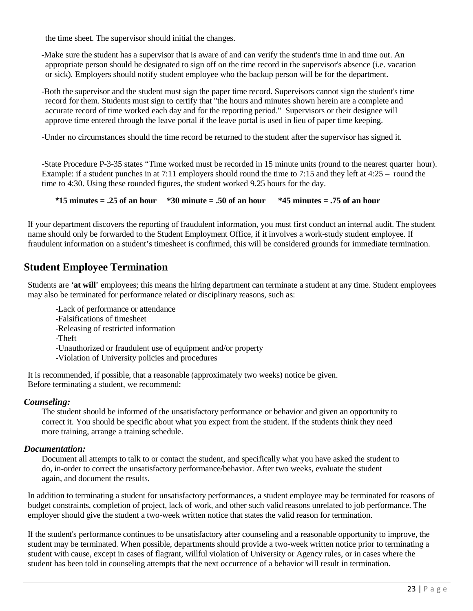the time sheet. The supervisor should initial the changes.

-Make sure the student has a supervisor that is aware of and can verify the student's time in and time out. An appropriate person should be designated to sign off on the time record in the supervisor's absence (i.e. vacation or sick). Employers should notify student employee who the backup person will be for the department.

-Both the supervisor and the student must sign the paper time record. Supervisors cannot sign the student's time record for them. Students must sign to certify that "the hours and minutes shown herein are a complete and accurate record of time worked each day and for the reporting period." Supervisors or their designee will approve time entered through the leave portal if the leave portal is used in lieu of paper time keeping.

-Under no circumstances should the time record be returned to the student after the supervisor has signed it.

-State Procedure P-3-35 states "Time worked must be recorded in 15 minute units (round to the nearest quarter hour). Example: if a student punches in at 7:11 employers should round the time to 7:15 and they left at 4:25 – round the time to 4:30. Using these rounded figures, the student worked 9.25 hours for the day.

**\*15 minutes = .25 of an hour \*30 minute = .50 of an hour \*45 minutes = .75 of an hour**

If your department discovers the reporting of fraudulent information, you must first conduct an internal audit. The student name should only be forwarded to the Student Employment Office, if it involves a work-study student employee. If fraudulent information on a student's timesheet is confirmed, this will be considered grounds for immediate termination.

#### <span id="page-22-0"></span>**Student Employee Termination**

Students are '**at will**' employees; this means the hiring department can terminate a student at any time. Student employees may also be terminated for performance related or disciplinary reasons, such as:

- -Lack of performance or attendance
- -Falsifications of timesheet
- -Releasing of restricted information
- -Theft
- -Unauthorized or fraudulent use of equipment and/or property
- -Violation of University policies and procedures

It is recommended, if possible, that a reasonable (approximately two weeks) notice be given. Before terminating a student, we recommend:

#### *Counseling:*

The student should be informed of the unsatisfactory performance or behavior and given an opportunity to correct it. You should be specific about what you expect from the student. If the students think they need more training, arrange a training schedule.

#### *Documentation:*

Document all attempts to talk to or contact the student, and specifically what you have asked the student to do, in-order to correct the unsatisfactory performance/behavior. After two weeks, evaluate the student again, and document the results.

In addition to terminating a student for unsatisfactory performances, a student employee may be terminated for reasons of budget constraints, completion of project, lack of work, and other such valid reasons unrelated to job performance. The employer should give the student a two-week written notice that states the valid reason for termination.

If the student's performance continues to be unsatisfactory after counseling and a reasonable opportunity to improve, the student may be terminated. When possible, departments should provide a two-week written notice prior to terminating a student with cause, except in cases of flagrant, willful violation of University or Agency rules, or in cases where the student has been told in counseling attempts that the next occurrence of a behavior will result in termination.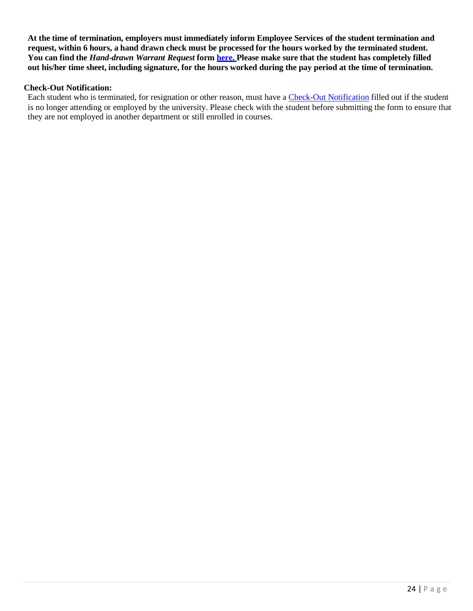**At the time of termination, employers must immediately inform Employee Services of the student termination and**  request, within 6 hours, a hand drawn check must be processed for the hours worked by the terminated student. You can find the *Hand-drawn Warrant Request* form [here.](https://www.cu.edu/hcm-community/policies/hand-drawn-warrant) Please make sure that the student has completely filled out his/her time sheet, including signature, for the hours worked during the pay period at the time of termination.

#### **Check-Out Notification:**

Each student who is terminated, for resignation or other reason, must have a [Check-Out Notification](http://www.ucdenver.edu/about/departments/HR/resourcesforemployees/employeecategories/Pages/studentworkers.aspx) filled out if the student is no longer attending or employed by the university. Please check with the student before submitting the form to ensure that they are not employed in another department or still enrolled in courses.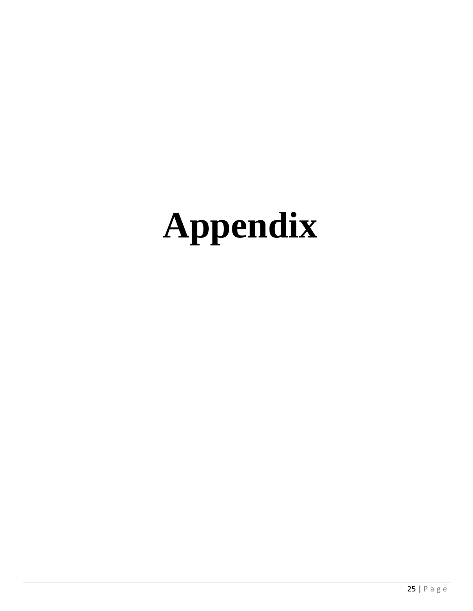# <span id="page-24-1"></span><span id="page-24-0"></span>**Appendix**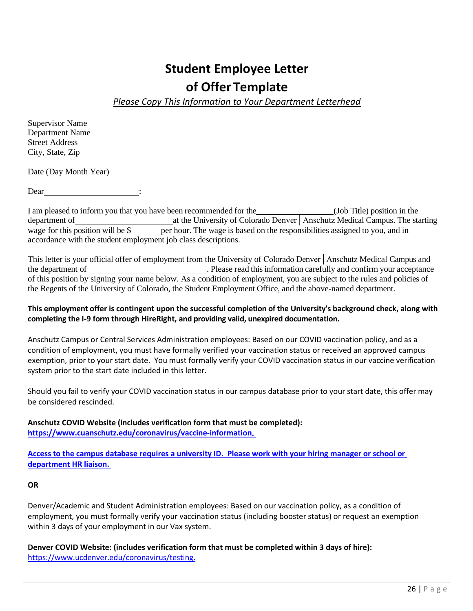## **Student Employee Letter of Offer Template**

*Please Copy This Information to Your Department Letterhead*

Supervisor Name Department Name Street Address City, State, Zip

Date (Day Month Year)

Dear :

I am pleased to inform you that you have been recommended for the (Job Title) position in the department of at the University of Colorado Denver | Anschutz Medical Campus. The starting wage for this position will be  $\frac{1}{2}$  per hour. The wage is based on the responsibilities assigned to you, and in accordance with the student employment job class descriptions.

This letter is your official offer of employment from the University of Colorado Denver│Anschutz Medical Campus and the department of . Please read this information carefully and confirm your acceptance of this position by signing your name below. As a condition of employment, you are subject to the rules and policies of the Regents of the University of Colorado, the Student Employment Office, and the above-named department.

#### **This employment offer is contingent upon the successful completion of the University's background check, along with completing the I-9 form through HireRight, and providing valid, unexpired documentation.**

Anschutz Campus or Central Services Administration employees: Based on our COVID vaccination policy, and as a condition of employment, you must have formally verified your vaccination status or received an approved campus exemption, prior to your start date. You must formally verify your COVID vaccination status in our vaccine verification system prior to the start date included in this letter.

Should you fail to verify your COVID vaccination status in our campus database prior to your start date, this offer may be considered rescinded.

**Anschutz COVID Website (includes verification form that must be completed): [https://www.cuanschutz.edu/coronavirus/vaccine-information.](https://www.cuanschutz.edu/coronavirus/vaccine-information)** 

**Access to the campus database requires a university ID. Please work with your hiring manager or school or department HR liaison.** 

#### **OR**

Denver/Academic and Student Administration employees: Based on our vaccination policy, as a condition of employment, you must formally verify your vaccination status (including booster status) or request an exemption within 3 days of your employment in our Vax system.

**Denver COVID Website: (includes verification form that must be completed within 3 days of hire):**  [https://www.ucdenver.edu/coronavirus/testing.](https://www.ucdenver.edu/coronavirus/testing)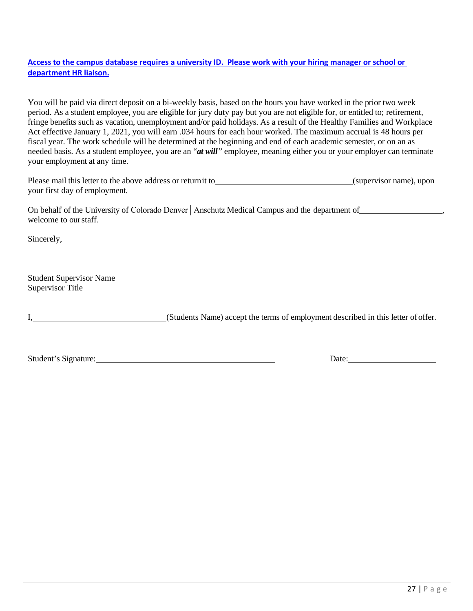#### **Access to the campus database requires a university ID. Please work with your hiring manager or school or department HR liaison.**

You will be paid via direct deposit on a bi-weekly basis, based on the hours you have worked in the prior two week period. As a student employee, you are eligible for jury duty pay but you are not eligible for, or entitled to; retirement, fringe benefits such as vacation, unemployment and/or paid holidays. As a result of the Healthy Families and Workplace Act effective January 1, 2021, you will earn .034 hours for each hour worked. The maximum accrual is 48 hours per fiscal year. The work schedule will be determined at the beginning and end of each academic semester, or on an as needed basis. As a student employee, you are an "*at will"* employee, meaning either you or your employer can terminate your employment at any time.

| Please mail this letter to the above address or return it to | (supervisor name), upon |  |
|--------------------------------------------------------------|-------------------------|--|
| your first day of employment.                                |                         |  |

On behalf of the University of Colorado Denver | Anschutz Medical Campus and the department of , welcome to ourstaff.

Sincerely,

Student Supervisor Name Supervisor Title

I, (Students Name) accept the terms of employment described in this letter ofoffer.

Student's Signature: Date: Date: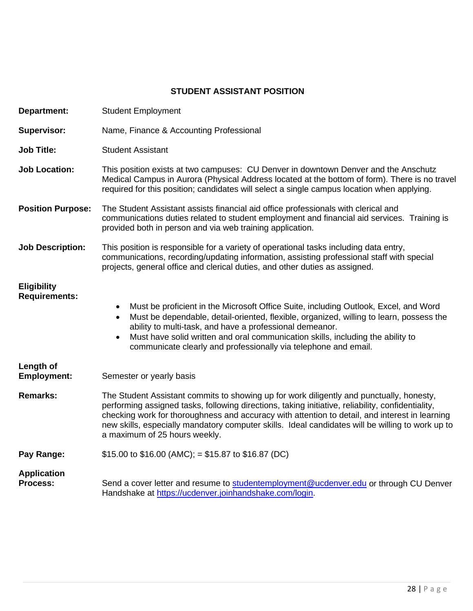#### **STUDENT ASSISTANT POSITION**

| <b>Department:</b>                         | <b>Student Employment</b>                                                                                                                                                                                                                                                                                                                                                                                                            |
|--------------------------------------------|--------------------------------------------------------------------------------------------------------------------------------------------------------------------------------------------------------------------------------------------------------------------------------------------------------------------------------------------------------------------------------------------------------------------------------------|
| <b>Supervisor:</b>                         | Name, Finance & Accounting Professional                                                                                                                                                                                                                                                                                                                                                                                              |
| <b>Job Title:</b>                          | <b>Student Assistant</b>                                                                                                                                                                                                                                                                                                                                                                                                             |
| <b>Job Location:</b>                       | This position exists at two campuses: CU Denver in downtown Denver and the Anschutz<br>Medical Campus in Aurora (Physical Address located at the bottom of form). There is no travel<br>required for this position; candidates will select a single campus location when applying.                                                                                                                                                   |
| <b>Position Purpose:</b>                   | The Student Assistant assists financial aid office professionals with clerical and<br>communications duties related to student employment and financial aid services. Training is<br>provided both in person and via web training application.                                                                                                                                                                                       |
| <b>Job Description:</b>                    | This position is responsible for a variety of operational tasks including data entry,<br>communications, recording/updating information, assisting professional staff with special<br>projects, general office and clerical duties, and other duties as assigned.                                                                                                                                                                    |
| <b>Eligibility</b><br><b>Requirements:</b> | Must be proficient in the Microsoft Office Suite, including Outlook, Excel, and Word<br>Must be dependable, detail-oriented, flexible, organized, willing to learn, possess the<br>ability to multi-task, and have a professional demeanor.<br>Must have solid written and oral communication skills, including the ability to<br>communicate clearly and professionally via telephone and email.                                    |
| Length of<br><b>Employment:</b>            | Semester or yearly basis                                                                                                                                                                                                                                                                                                                                                                                                             |
| <b>Remarks:</b>                            | The Student Assistant commits to showing up for work diligently and punctually, honesty,<br>performing assigned tasks, following directions, taking initiative, reliability, confidentiality,<br>checking work for thoroughness and accuracy with attention to detail, and interest in learning<br>new skills, especially mandatory computer skills. Ideal candidates will be willing to work up to<br>a maximum of 25 hours weekly. |
| Pay Range:                                 | \$15.00 to \$16.00 (AMC); = \$15.87 to \$16.87 (DC)                                                                                                                                                                                                                                                                                                                                                                                  |
| <b>Application</b><br><b>Process:</b>      | Send a cover letter and resume to studentemployment@ucdenver.edu or through CU Denver<br>Handshake at https://ucdenver.joinhandshake.com/login.                                                                                                                                                                                                                                                                                      |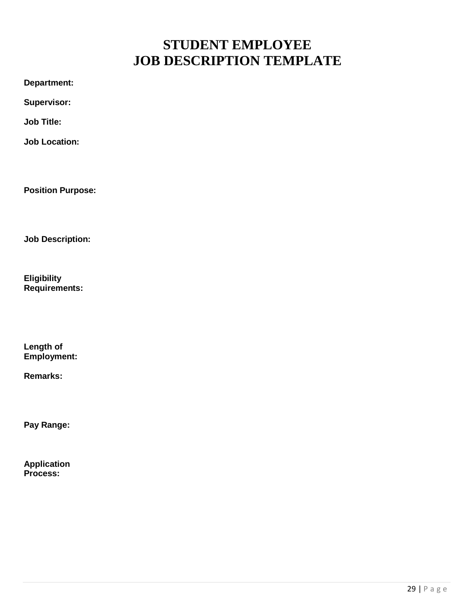## **STUDENT EMPLOYEE JOB DESCRIPTION TEMPLATE**

<span id="page-28-0"></span>**Department:** 

**Supervisor:** 

**Job Title:**

**Job Location:**

**Position Purpose:**

**Job Description:**

**Eligibility Requirements:**

**Length of Employment:**

**Remarks:**

**Pay Range:**

**Application Process:**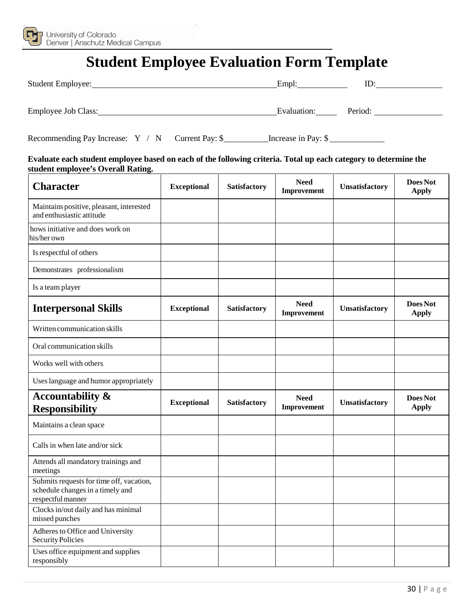<span id="page-29-0"></span>

## **Student Employee Evaluation Form Template**

| Student Employee:   | Empl:       | ID      |
|---------------------|-------------|---------|
| Employee Job Class: | Evaluation: | Period: |

| Recommending Pay Increase: Y / N Current Pay: \$ |  |  | Increase in Pay: \$ |
|--------------------------------------------------|--|--|---------------------|
|                                                  |  |  |                     |

#### **Evaluate each student employee based on each of the following criteria. Total up each category to determine the student employee's Overall Rating.**

| <b>Character</b>                                                                                  | <b>Exceptional</b> | <b>Satisfactory</b> | <b>Need</b><br>Improvement | Unsatisfactory | Does Not<br><b>Apply</b> |
|---------------------------------------------------------------------------------------------------|--------------------|---------------------|----------------------------|----------------|--------------------------|
| Maintains positive, pleasant, interested<br>and enthusiastic attitude                             |                    |                     |                            |                |                          |
| hows initiative and does work on<br>his/her own                                                   |                    |                     |                            |                |                          |
| Is respectful of others                                                                           |                    |                     |                            |                |                          |
| Demonstrates professionalism                                                                      |                    |                     |                            |                |                          |
| Is a team player                                                                                  |                    |                     |                            |                |                          |
| <b>Interpersonal Skills</b>                                                                       | <b>Exceptional</b> | <b>Satisfactory</b> | <b>Need</b><br>Improvement | Unsatisfactory | Does Not<br><b>Apply</b> |
| Written communication skills                                                                      |                    |                     |                            |                |                          |
| Oral communication skills                                                                         |                    |                     |                            |                |                          |
| Works well with others                                                                            |                    |                     |                            |                |                          |
| Uses language and humor appropriately                                                             |                    |                     |                            |                |                          |
| <b>Accountability &amp;</b><br><b>Responsibility</b>                                              | <b>Exceptional</b> | <b>Satisfactory</b> | <b>Need</b><br>Improvement | Unsatisfactory | Does Not<br><b>Apply</b> |
| Maintains a clean space                                                                           |                    |                     |                            |                |                          |
| Calls in when late and/or sick                                                                    |                    |                     |                            |                |                          |
| Attends all mandatory trainings and<br>meetings                                                   |                    |                     |                            |                |                          |
| Submits requests for time off, vacation,<br>schedule changes in a timely and<br>respectful manner |                    |                     |                            |                |                          |
| Clocks in/out daily and has minimal<br>missed punches                                             |                    |                     |                            |                |                          |
| Adheres to Office and University<br><b>Security Policies</b>                                      |                    |                     |                            |                |                          |
| Uses office equipment and supplies<br>responsibly                                                 |                    |                     |                            |                |                          |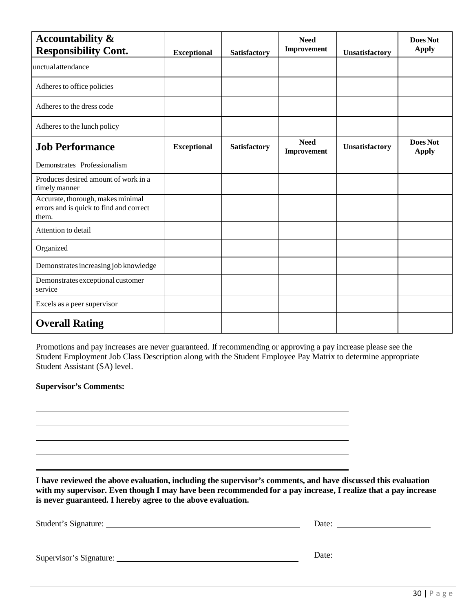| <b>Accountability &amp;</b><br><b>Responsibility Cont.</b>                            | <b>Exceptional</b> | <b>Satisfactory</b> | <b>Need</b><br>Improvement | Unsatisfactory | Does Not<br><b>Apply</b> |
|---------------------------------------------------------------------------------------|--------------------|---------------------|----------------------------|----------------|--------------------------|
| unctual attendance                                                                    |                    |                     |                            |                |                          |
| Adheres to office policies                                                            |                    |                     |                            |                |                          |
| Adheres to the dress code                                                             |                    |                     |                            |                |                          |
| Adheres to the lunch policy                                                           |                    |                     |                            |                |                          |
| <b>Job Performance</b>                                                                | <b>Exceptional</b> | <b>Satisfactory</b> | <b>Need</b><br>Improvement | Unsatisfactory | Does Not<br><b>Apply</b> |
| Demonstrates Professionalism                                                          |                    |                     |                            |                |                          |
| Produces desired amount of work in a<br>timely manner                                 |                    |                     |                            |                |                          |
| Accurate, thorough, makes minimal<br>errors and is quick to find and correct<br>them. |                    |                     |                            |                |                          |
| Attention to detail                                                                   |                    |                     |                            |                |                          |
| Organized                                                                             |                    |                     |                            |                |                          |
| Demonstrates increasing job knowledge                                                 |                    |                     |                            |                |                          |
| Demonstrates exceptional customer<br>service                                          |                    |                     |                            |                |                          |
| Excels as a peer supervisor                                                           |                    |                     |                            |                |                          |
| <b>Overall Rating</b>                                                                 |                    |                     |                            |                |                          |

Promotions and pay increases are never guaranteed. If recommending or approving a pay increase please see the Student Employment Job Class Description along with the Student Employee Pay Matrix to determine appropriate Student Assistant (SA) level.

#### **Supervisor's Comments:**

**I have reviewed the above evaluation, including the supervisor's comments, and have discussed this evaluation with my supervisor. Even though I may have been recommended for a pay increase, I realize that a pay increase is never guaranteed. I hereby agree to the above evaluation.**

| Student's Signature:    | Date: |
|-------------------------|-------|
|                         |       |
| Supervisor's Signature: | Date: |
|                         |       |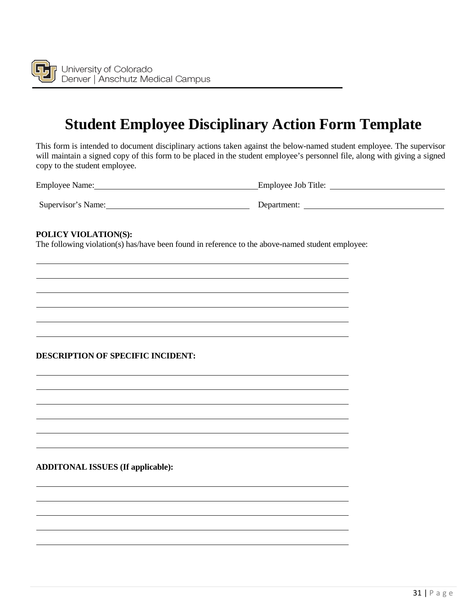

## **Student Employee Disciplinary Action Form Template**

<span id="page-31-0"></span>This form is intended to document disciplinary actions taken against the below-named student employee. The supervisor will maintain a signed copy of this form to be placed in the student employee's personnel file, along with giving a signed copy to the student employee.

Employee Name: Employee Job Title:

Supervisor's Name: Department:

#### **POLICY VIOLATION(S):**

The following violation(s) has/have been found in reference to the above-named student employee:

#### **DESCRIPTION OF SPECIFIC INCIDENT:**

#### **ADDITONAL ISSUES (If applicable):**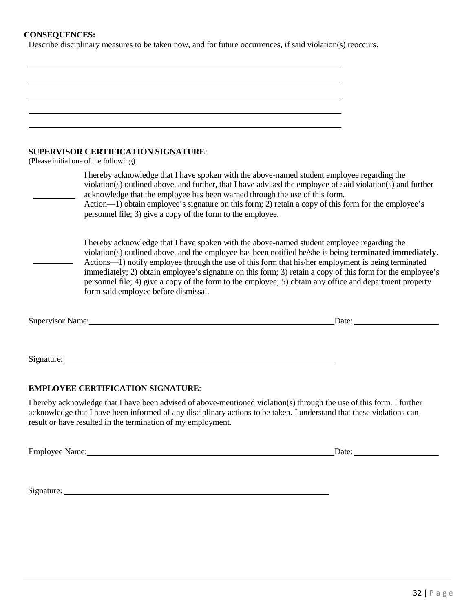#### **CONSEQUENCES:**

Describe disciplinary measures to be taken now, and for future occurrences, if said violation(s) reoccurs.

| <b>SUPERVISOR CERTIFICATION SIGNATURE:</b><br>(Please initial one of the following)                                                                                                                                                                                                                                                                                                                                                                                                                                                                                             |
|---------------------------------------------------------------------------------------------------------------------------------------------------------------------------------------------------------------------------------------------------------------------------------------------------------------------------------------------------------------------------------------------------------------------------------------------------------------------------------------------------------------------------------------------------------------------------------|
|                                                                                                                                                                                                                                                                                                                                                                                                                                                                                                                                                                                 |
| I hereby acknowledge that I have spoken with the above-named student employee regarding the<br>violation(s) outlined above, and further, that I have advised the employee of said violation(s) and further<br>acknowledge that the employee has been warned through the use of this form.<br>Action—1) obtain employee's signature on this form; 2) retain a copy of this form for the employee's<br>personnel file; 3) give a copy of the form to the employee.                                                                                                                |
| I hereby acknowledge that I have spoken with the above-named student employee regarding the<br>violation(s) outlined above, and the employee has been notified he/she is being terminated immediately.<br>Actions-1) notify employee through the use of this form that his/her employment is being terminated<br>immediately; 2) obtain employee's signature on this form; 3) retain a copy of this form for the employee's<br>personnel file; 4) give a copy of the form to the employee; 5) obtain any office and department property<br>form said employee before dismissal. |
| Date:<br>Supervisor Name: Supervisor Name:                                                                                                                                                                                                                                                                                                                                                                                                                                                                                                                                      |
|                                                                                                                                                                                                                                                                                                                                                                                                                                                                                                                                                                                 |
|                                                                                                                                                                                                                                                                                                                                                                                                                                                                                                                                                                                 |
|                                                                                                                                                                                                                                                                                                                                                                                                                                                                                                                                                                                 |
|                                                                                                                                                                                                                                                                                                                                                                                                                                                                                                                                                                                 |

#### **EMPLOYEE CERTIFICATION SIGNATURE**:

I hereby acknowledge that I have been advised of above-mentioned violation(s) through the use of this form. I further acknowledge that I have been informed of any disciplinary actions to be taken. I understand that these violations can result or have resulted in the termination of my employment.

Employee Name: Date: Date: Date: Date: Date: Date: Date: Date: Date: Date: Date: Date: Date: Date: Date: Date: Date: Date: Date: Date: Date: Date: Date: Date: Date: Date: Date: Date: Date: Date: Date: Date: Date: Date: Dat

Signature: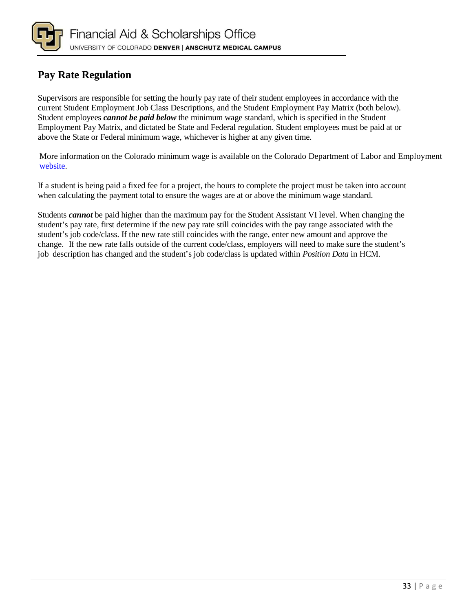

#### <span id="page-33-0"></span>**Pay Rate Regulation**

Supervisors are responsible for setting the hourly pay rate of their student employees in accordance with the current Student Employment Job Class Descriptions, and the Student Employment Pay Matrix (both below). Student employees *cannot be paid below* the minimum wage standard, which is specified in the Student Employment Pay Matrix, and dictated be State and Federal regulation. Student employees must be paid at or above the State or Federal minimum wage, whichever is higher at any given time.

More information on the Colorado minimum wage is available on the Colorado Department of Labor and Employment [website.](https://www.colorado.gov/cdle)

If a student is being paid a fixed fee for a project, the hours to complete the project must be taken into account when calculating the payment total to ensure the wages are at or above the minimum wage standard.

Students *cannot* be paid higher than the maximum pay for the Student Assistant VI level. When changing the student's pay rate, first determine if the new pay rate still coincides with the pay range associated with the student's job code/class. If the new rate still coincides with the range, enter new amount and approve the change. If the new rate falls outside of the current code/class, employers will need to make sure the student's job description has changed and the student's job code/class is updated within *Position Data* in HCM.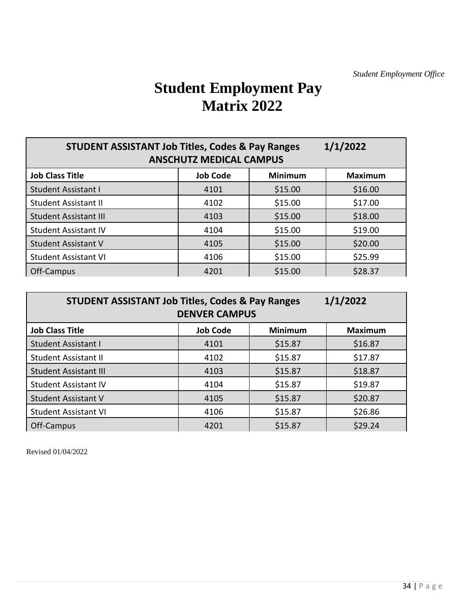## **Student Employment Pay Matrix 2022**

<span id="page-34-0"></span>

| 1/1/2022<br><b>STUDENT ASSISTANT Job Titles, Codes &amp; Pay Ranges</b><br><b>ANSCHUTZ MEDICAL CAMPUS</b> |                 |                |                |  |  |
|-----------------------------------------------------------------------------------------------------------|-----------------|----------------|----------------|--|--|
| <b>Job Class Title</b>                                                                                    | <b>Job Code</b> | <b>Minimum</b> | <b>Maximum</b> |  |  |
| <b>Student Assistant I</b>                                                                                | 4101            | \$15.00        | \$16.00        |  |  |
| <b>Student Assistant II</b>                                                                               | 4102            | \$15.00        | \$17.00        |  |  |
| <b>Student Assistant III</b>                                                                              | 4103            | \$15.00        | \$18.00        |  |  |
| <b>Student Assistant IV</b>                                                                               | 4104            | \$15.00        | \$19.00        |  |  |
| <b>Student Assistant V</b>                                                                                | 4105            | \$15.00        | \$20.00        |  |  |
| <b>Student Assistant VI</b>                                                                               | 4106            | \$15.00        | \$25.99        |  |  |
| Off-Campus                                                                                                | 4201            | \$15.00        | \$28.37        |  |  |

| 1/1/2022<br><b>STUDENT ASSISTANT Job Titles, Codes &amp; Pay Ranges</b><br><b>DENVER CAMPUS</b> |                 |                |                |  |  |
|-------------------------------------------------------------------------------------------------|-----------------|----------------|----------------|--|--|
| <b>Job Class Title</b>                                                                          | <b>Job Code</b> | <b>Minimum</b> | <b>Maximum</b> |  |  |
| <b>Student Assistant I</b>                                                                      | 4101            | \$15.87        | \$16.87        |  |  |
| <b>Student Assistant II</b>                                                                     | 4102            | \$15.87        | \$17.87        |  |  |
| <b>Student Assistant III</b>                                                                    | 4103            | \$15.87        | \$18.87        |  |  |
| <b>Student Assistant IV</b>                                                                     | 4104            | \$15.87        | \$19.87        |  |  |
| <b>Student Assistant V</b>                                                                      | 4105            | \$15.87        | \$20.87        |  |  |
| <b>Student Assistant VI</b>                                                                     | 4106            | \$15.87        | \$26.86        |  |  |
| Off-Campus                                                                                      | 4201            | \$15.87        | \$29.24        |  |  |

Revised 01/04/2022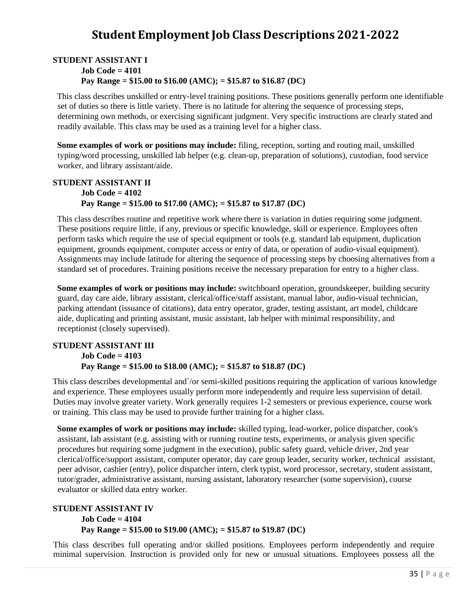## **Student Employment Job Class Descriptions 2021-2022**

#### <span id="page-35-0"></span>**STUDENT ASSISTANT I Job Code = 4101 Pay Range = \$15.00 to \$16.00 (AMC); = \$15.87 to \$16.87 (DC)**

This class describes unskilled or entry-level training positions. These positions generally perform one identifiable set of duties so there is little variety. There is no latitude for altering the sequence of processing steps, determining own methods, or exercising significant judgment. Very specific instructions are clearly stated and readily available. This class may be used as a training level for a higher class.

**Some examples of work or positions may include:** filing, reception, sorting and routing mail, unskilled typing/word processing, unskilled lab helper (e.g. clean-up, preparation of solutions), custodian, food service worker, and library assistant/aide.

#### **STUDENT ASSISTANT II Job Code = 4102 Pay Range = \$15.00 to \$17.00 (AMC); = \$15.87 to \$17.87 (DC)**

This class describes routine and repetitive work where there is variation in duties requiring some judgment. These positions require little, if any, previous or specific knowledge, skill or experience. Employees often perform tasks which require the use of special equipment or tools (e.g. standard lab equipment, duplication equipment, grounds equipment, computer access or entry of data, or operation of audio-visual equipment). Assignments may include latitude for altering the sequence of processing steps by choosing alternatives from a standard set of procedures. Training positions receive the necessary preparation for entry to a higher class.

**Some examples of work or positions may include:** switchboard operation, groundskeeper, building security guard, day care aide, library assistant, clerical/office/staff assistant, manual labor, audio-visual technician, parking attendant (issuance of citations), data entry operator, grader, testing assistant, art model, childcare aide, duplicating and printing assistant, music assistant, lab helper with minimal responsibility, and receptionist (closely supervised).

#### **STUDENT ASSISTANT III Job Code = 4103 Pay Range = \$15.00 to \$18.00 (AMC); = \$15.87 to \$18.87 (DC)**

This class describes developmental and`/or semi-skilled positions requiring the application of various knowledge and experience. These employees usually perform more independently and require less supervision of detail. Duties may involve greater variety. Work generally requires 1-2 semesters or previous experience, course work or training. This class may be used to provide further training for a higher class.

**Some examples of work or positions may include:** skilled typing, lead-worker, police dispatcher, cook's assistant, lab assistant (e.g. assisting with or running routine tests, experiments, or analysis given specific procedures but requiring some judgment in the execution), public safety guard, vehicle driver, 2nd year clerical/office/support assistant, computer operator, day care group leader, security worker, technical assistant, peer advisor, cashier (entry), police dispatcher intern, clerk typist, word processor, secretary, student assistant, tutor/grader, administrative assistant, nursing assistant, laboratory researcher (some supervision), course evaluator or skilled data entry worker.

#### **STUDENT ASSISTANT IV Job Code = 4104 Pay Range = \$15.00 to \$19.00 (AMC); = \$15.87 to \$19.87 (DC)**

This class describes full operating and/or skilled positions. Employees perform independently and require minimal supervision. Instruction is provided only for new or unusual situations. Employees possess all the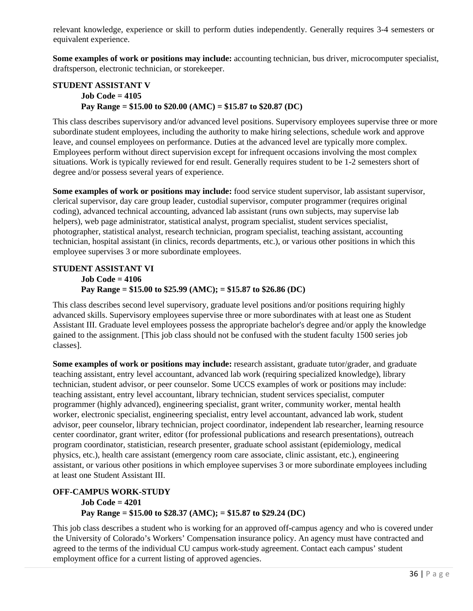relevant knowledge, experience or skill to perform duties independently. Generally requires 3-4 semesters or equivalent experience.

**Some examples of work or positions may include:** accounting technician, bus driver, microcomputer specialist, draftsperson, electronic technician, or storekeeper.

#### **STUDENT ASSISTANT V Job Code = 4105 Pay Range = \$15.00 to \$20.00 (AMC) = \$15.87 to \$20.87 (DC)**

This class describes supervisory and/or advanced level positions. Supervisory employees supervise three or more subordinate student employees, including the authority to make hiring selections, schedule work and approve leave, and counsel employees on performance. Duties at the advanced level are typically more complex. Employees perform without direct supervision except for infrequent occasions involving the most complex situations. Work is typically reviewed for end result. Generally requires student to be 1-2 semesters short of degree and/or possess several years of experience.

**Some examples of work or positions may include:** food service student supervisor, lab assistant supervisor, clerical supervisor, day care group leader, custodial supervisor, computer programmer (requires original coding), advanced technical accounting, advanced lab assistant (runs own subjects, may supervise lab helpers), web page administrator, statistical analyst, program specialist, student services specialist, photographer, statistical analyst, research technician, program specialist, teaching assistant, accounting technician, hospital assistant (in clinics, records departments, etc.), or various other positions in which this employee supervises 3 or more subordinate employees.

#### **STUDENT ASSISTANT VI Job Code = 4106 Pay Range = \$15.00 to \$25.99 (AMC); = \$15.87 to \$26.86 (DC)**

This class describes second level supervisory, graduate level positions and/or positions requiring highly advanced skills. Supervisory employees supervise three or more subordinates with at least one as Student Assistant III. Graduate level employees possess the appropriate bachelor's degree and/or apply the knowledge gained to the assignment. [This job class should not be confused with the student faculty 1500 series job classes].

**Some examples of work or positions may include:** research assistant, graduate tutor/grader, and graduate teaching assistant, entry level accountant, advanced lab work (requiring specialized knowledge), library technician, student advisor, or peer counselor. Some UCCS examples of work or positions may include: teaching assistant, entry level accountant, library technician, student services specialist, computer programmer (highly advanced), engineering specialist, grant writer, community worker, mental health worker, electronic specialist, engineering specialist, entry level accountant, advanced lab work, student advisor, peer counselor, library technician, project coordinator, independent lab researcher, learning resource center coordinator, grant writer, editor (for professional publications and research presentations), outreach program coordinator, statistician, research presenter, graduate school assistant (epidemiology, medical physics, etc.), health care assistant (emergency room care associate, clinic assistant, etc.), engineering assistant, or various other positions in which employee supervises 3 or more subordinate employees including at least one Student Assistant III.

#### **OFF-CAMPUS WORK-STUDY Job Code = 4201 Pay Range = \$15.00 to \$28.37 (AMC); = \$15.87 to \$29.24 (DC)**

This job class describes a student who is working for an approved off-campus agency and who is covered under the University of Colorado's Workers' Compensation insurance policy. An agency must have contracted and agreed to the terms of the individual CU campus work-study agreement. Contact each campus' student employment office for a current listing of approved agencies.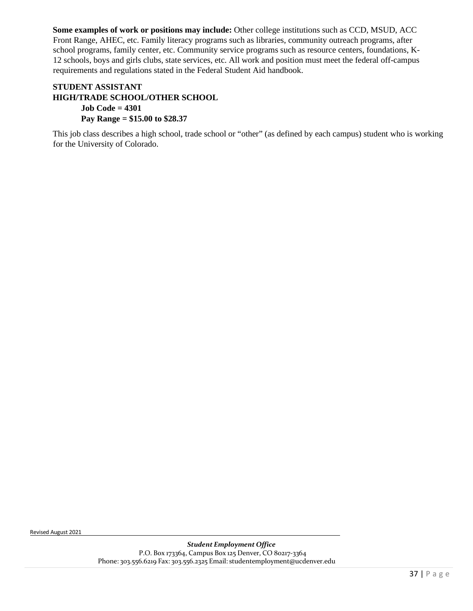Some examples of work or positions may include: Other college institutions such as CCD, MSUD, ACC Front Range, AHEC, etc. Family literacy programs such as libraries, community outreach programs, after school programs, family center, etc. Community service programs such as resource centers, foundations, K-12 schools, boys and girls clubs, state services, etc. All work and position must meet the federal off-campus requirements and regulations stated in the Federal Student Aid handbook.

#### **STUDENT ASSISTANT HIGH/TRADE SCHOOL/OTHER SCHOOL Job Code = 4301 Pay Range = \$15.00 to \$28.37**

This job class describes a high school, trade school or "other" (as defined by each campus) student who is working for the University of Colorado.

Revised August 2021

*Student Employment Office* P.O. Box 173364, Campus Box 125 Denver, CO 80217-3364 Phone: 303.556.6219 Fax: 303.556.2325 Email: [studentemployment@ucdenver.edu](mailto:studentemployment@ucdenver.edu)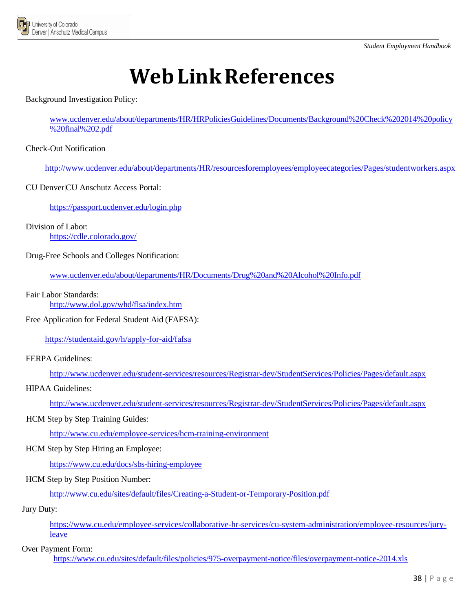

# **WebLinkReferences**

<span id="page-38-0"></span>Background Investigation Policy:

www.ucdenver.edu/about/departments/HR/HRPoliciesGuidelines/Documents/Background%20Check%202014%20policy %20final%202.pdf

Check-Out Notification

<http://www.ucdenver.edu/about/departments/HR/resourcesforemployees/employeecategories/Pages/studentworkers.aspx>

CU Denver|CU Anschutz Access Portal:

<https://passport.ucdenver.edu/login.php>

Division of Labor: <https://cdle.colorado.gov/>

Drug-Free Schools and Colleges Notification:

www.ucdenver.edu/about/departments/HR/Documents/Drug%20and%20Alcohol%20Info.pdf

Fair Labor Standards:

<http://www.dol.gov/whd/flsa/index.htm>

Free Application for Federal Student Aid (FAFSA):

<https://studentaid.gov/h/apply-for-aid/fafsa>

FERPA Guidelines:

<http://www.ucdenver.edu/student-services/resources/Registrar-dev/StudentServices/Policies/Pages/default.aspx>

HIPAA Guidelines:

<http://www.ucdenver.edu/student-services/resources/Registrar-dev/StudentServices/Policies/Pages/default.aspx>

#### HCM Step by Step Training Guides:

[http://www.cu.edu/employee-services/hcm-training-environment](http://www.cu.edu/hcm-community/hcm-access-training)

HCM Step by Step Hiring an Employee:

<https://www.cu.edu/docs/sbs-hiring-employee>

HCM Step by Step Position Number:

<http://www.cu.edu/sites/default/files/Creating-a-Student-or-Temporary-Position.pdf>

Jury Duty:

[https://www.cu.edu/employee-services/collaborative-hr-services/cu-system-administration/employee-resources/jury](https://www.cu.edu/employee-services/collaborative-hr-services/cu-system-administration/employee-resources/jury-leave)[leave](https://www.cu.edu/employee-services/collaborative-hr-services/cu-system-administration/employee-resources/jury-leave)

Over Payment Form:

<https://www.cu.edu/sites/default/files/policies/975-overpayment-notice/files/overpayment-notice-2014.xls>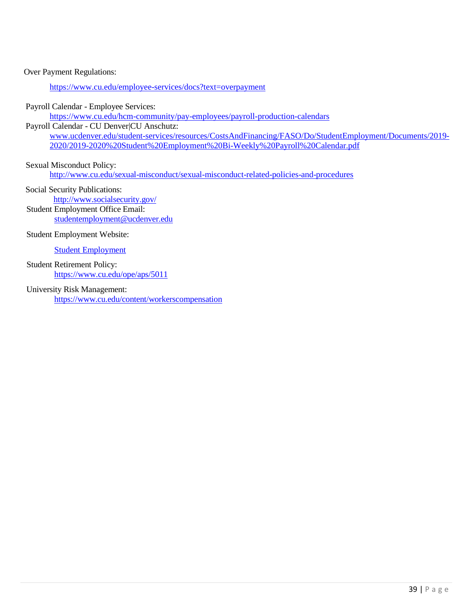#### Over Payment Regulations:

<https://www.cu.edu/employee-services/docs?text=overpayment>

Payroll Calendar - Employee Services:

https://www.cu.edu/hcm-community/pay-employees/payroll-production-calendars

#### Payroll Calendar - CU Denver|CU Anschutz:

www.ucdenver.edu/student-services/resources/CostsAndFinancing/FASO/Do/StudentEmployment/Documents/2019- 2020/2019-2020%20Student%20Employment%20Bi-Weekly%20Payroll%20Calendar.pdf

Sexual Misconduct Policy: http://www.cu.edu/sexual-misconduct/sexual-misconduct-related-policies-and-procedures

Social Security Publications: <http://www.socialsecurity.gov/> Student Employment Office Email:

[studentemployment@ucdenver.edu](mailto:studentemployment@ucdenver.edu)

Student Employment Website:

[Student Employment](http://www.ucdenver.edu/student-services/resources/CostsAndFinancing/FASO/Do/StudentEmployment/Pages/StudentEmployment.aspx)

Student Retirement Policy: <https://www.cu.edu/ope/aps/5011>

#### University Risk Management:

<https://www.cu.edu/content/workerscompensation>